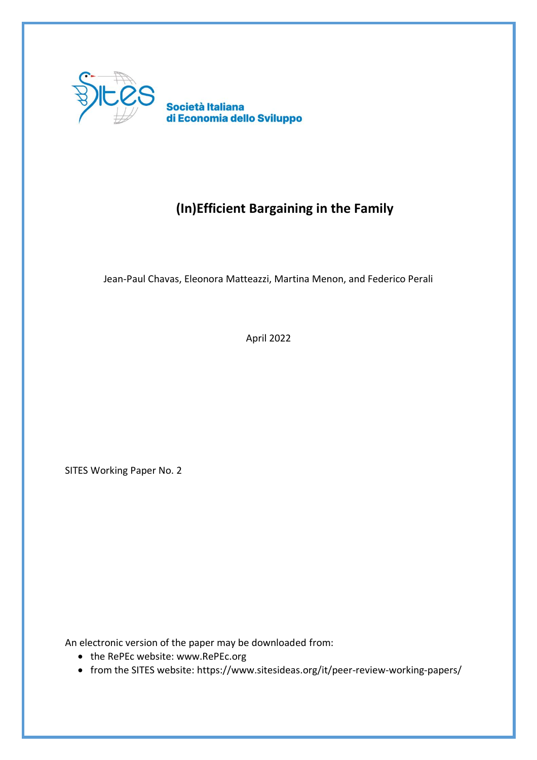

# **(In)Efficient Bargaining in the Family**

Jean-Paul Chavas, Eleonora Matteazzi, Martina Menon, and Federico Perali

April 2022

SITES Working Paper No. 2

An electronic version of the paper may be downloaded from:

- the RePEc website: www.RePEc.org
- from the SITES website: https://www.sitesideas.org/it/peer-review-working-papers/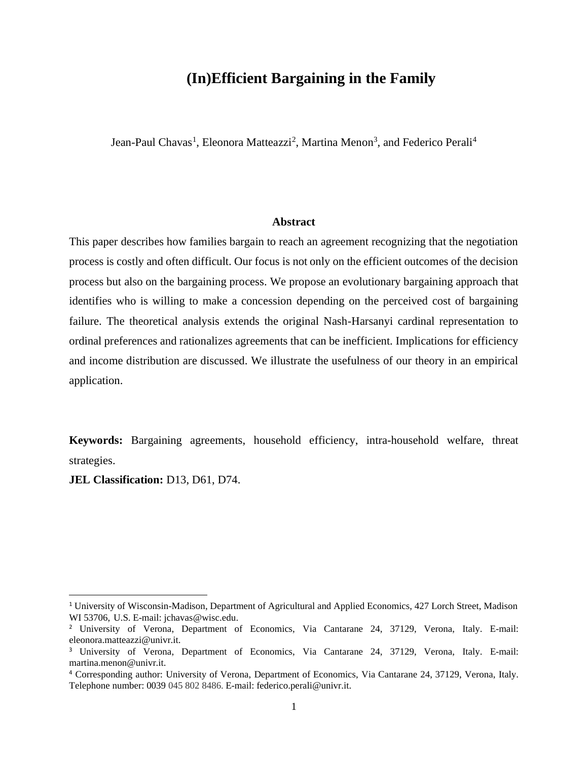## **(In)Efficient Bargaining in the Family**

Jean-Paul Chavas<sup>1</sup>, Eleonora Matteazzi<sup>2</sup>, Martina Menon<sup>3</sup>, and Federico Perali<sup>4</sup>

#### **Abstract**

This paper describes how families bargain to reach an agreement recognizing that the negotiation process is costly and often difficult. Our focus is not only on the efficient outcomes of the decision process but also on the bargaining process. We propose an evolutionary bargaining approach that identifies who is willing to make a concession depending on the perceived cost of bargaining failure. The theoretical analysis extends the original Nash-Harsanyi cardinal representation to ordinal preferences and rationalizes agreements that can be inefficient. Implications for efficiency and income distribution are discussed. We illustrate the usefulness of our theory in an empirical application.

**Keywords:** Bargaining agreements, household efficiency, intra-household welfare, threat strategies.

**JEL Classification:** D13, D61, D74.

<sup>1</sup> University of Wisconsin-Madison, Department of Agricultural and Applied Economics, 427 Lorch Street, Madison WI 53706, U.S. E-mail: [jchavas@wisc.edu.](mailto:jchavas@wisc.edu)

<sup>2</sup> University of Verona, Department of Economics, Via Cantarane 24, 37129, Verona, Italy. E-mail: eleonora.matteazzi@univr.it.

<sup>3</sup> University of Verona, Department of Economics, Via Cantarane 24, 37129, Verona, Italy. E-mail: martina.menon@univr.it.

<sup>4</sup> Corresponding author: University of Verona, Department of Economics, Via Cantarane 24, 37129, Verona, Italy. Telephone number: 0039 045 802 8486. E-mail: federico.perali@univr.it.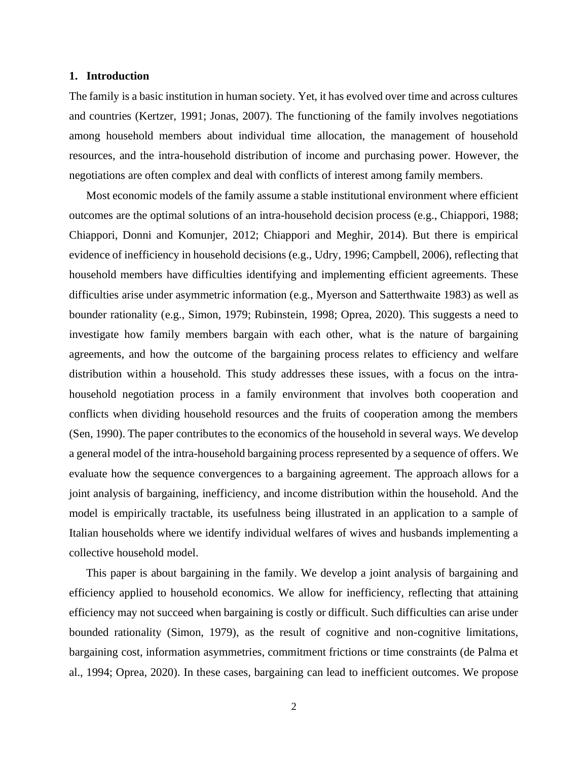#### **1. Introduction**

The family is a basic institution in human society. Yet, it has evolved over time and across cultures and countries (Kertzer, 1991; Jonas, 2007). The functioning of the family involves negotiations among household members about individual time allocation, the management of household resources, and the intra-household distribution of income and purchasing power. However, the negotiations are often complex and deal with conflicts of interest among family members.

Most economic models of the family assume a stable institutional environment where efficient outcomes are the optimal solutions of an intra-household decision process (e.g., Chiappori, 1988; Chiappori, Donni and Komunjer, 2012; Chiappori and Meghir, 2014). But there is empirical evidence of inefficiency in household decisions (e.g., Udry, 1996; Campbell, 2006), reflecting that household members have difficulties identifying and implementing efficient agreements. These difficulties arise under asymmetric information (e.g., Myerson and Satterthwaite 1983) as well as bounder rationality (e.g., Simon, 1979; Rubinstein, 1998; Oprea, 2020). This suggests a need to investigate how family members bargain with each other, what is the nature of bargaining agreements, and how the outcome of the bargaining process relates to efficiency and welfare distribution within a household. This study addresses these issues, with a focus on the intrahousehold negotiation process in a family environment that involves both cooperation and conflicts when dividing household resources and the fruits of cooperation among the members (Sen, 1990). The paper contributes to the economics of the household in several ways. We develop a general model of the intra-household bargaining process represented by a sequence of offers. We evaluate how the sequence convergences to a bargaining agreement. The approach allows for a joint analysis of bargaining, inefficiency, and income distribution within the household. And the model is empirically tractable, its usefulness being illustrated in an application to a sample of Italian households where we identify individual welfares of wives and husbands implementing a collective household model.

This paper is about bargaining in the family. We develop a joint analysis of bargaining and efficiency applied to household economics. We allow for inefficiency, reflecting that attaining efficiency may not succeed when bargaining is costly or difficult. Such difficulties can arise under bounded rationality (Simon, 1979), as the result of cognitive and non-cognitive limitations, bargaining cost, information asymmetries, commitment frictions or time constraints (de Palma et al., 1994; Oprea, 2020). In these cases, bargaining can lead to inefficient outcomes. We propose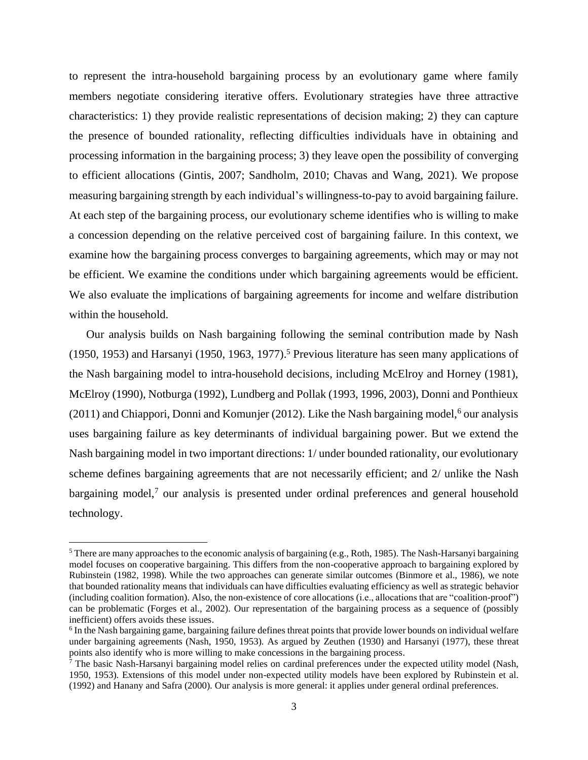to represent the intra-household bargaining process by an evolutionary game where family members negotiate considering iterative offers. Evolutionary strategies have three attractive characteristics: 1) they provide realistic representations of decision making; 2) they can capture the presence of bounded rationality, reflecting difficulties individuals have in obtaining and processing information in the bargaining process; 3) they leave open the possibility of converging to efficient allocations (Gintis, 2007; Sandholm, 2010; Chavas and Wang, 2021). We propose measuring bargaining strength by each individual's willingness-to-pay to avoid bargaining failure. At each step of the bargaining process, our evolutionary scheme identifies who is willing to make a concession depending on the relative perceived cost of bargaining failure. In this context, we examine how the bargaining process converges to bargaining agreements, which may or may not be efficient. We examine the conditions under which bargaining agreements would be efficient. We also evaluate the implications of bargaining agreements for income and welfare distribution within the household.

Our analysis builds on Nash bargaining following the seminal contribution made by Nash (1950, 1953) and Harsanyi (1950, 1963, 1977). <sup>5</sup> Previous literature has seen many applications of the Nash bargaining model to intra-household decisions, including McElroy and Horney (1981), McElroy (1990), Notburga (1992), Lundberg and Pollak (1993, 1996, 2003), Donni and Ponthieux (2011) and Chiappori, Donni and Komunjer (2012). Like the Nash bargaining model, <sup>6</sup> our analysis uses bargaining failure as key determinants of individual bargaining power. But we extend the Nash bargaining model in two important directions: 1/ under bounded rationality, our evolutionary scheme defines bargaining agreements that are not necessarily efficient; and 2/ unlike the Nash bargaining model,<sup>7</sup> our analysis is presented under ordinal preferences and general household technology.

<sup>5</sup> There are many approaches to the economic analysis of bargaining (e.g., Roth, 1985). The Nash-Harsanyi bargaining model focuses on cooperative bargaining. This differs from the non-cooperative approach to bargaining explored by Rubinstein (1982, 1998). While the two approaches can generate similar outcomes (Binmore et al., 1986), we note that bounded rationality means that individuals can have difficulties evaluating efficiency as well as strategic behavior (including coalition formation). Also, the non-existence of core allocations (i.e., allocations that are "coalition-proof") can be problematic (Forges et al., 2002). Our representation of the bargaining process as a sequence of (possibly inefficient) offers avoids these issues.

<sup>&</sup>lt;sup>6</sup> In the Nash bargaining game, bargaining failure defines threat points that provide lower bounds on individual welfare under bargaining agreements (Nash, 1950, 1953). As argued by Zeuthen (1930) and Harsanyi (1977), these threat points also identify who is more willing to make concessions in the bargaining process.

 $\bar{7}$  The basic Nash-Harsanyi bargaining model relies on cardinal preferences under the expected utility model (Nash, 1950, 1953). Extensions of this model under non-expected utility models have been explored by Rubinstein et al. (1992) and Hanany and Safra (2000). Our analysis is more general: it applies under general ordinal preferences.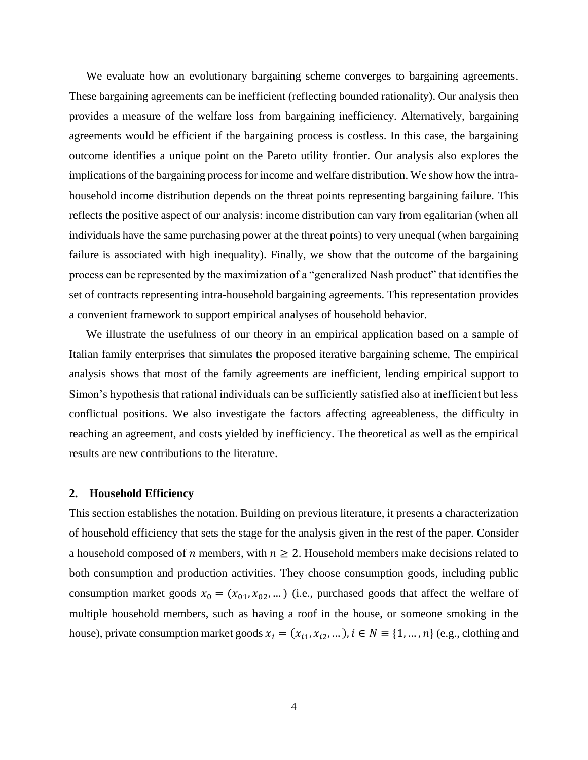We evaluate how an evolutionary bargaining scheme converges to bargaining agreements. These bargaining agreements can be inefficient (reflecting bounded rationality). Our analysis then provides a measure of the welfare loss from bargaining inefficiency. Alternatively, bargaining agreements would be efficient if the bargaining process is costless. In this case, the bargaining outcome identifies a unique point on the Pareto utility frontier. Our analysis also explores the implications of the bargaining process for income and welfare distribution. We show how the intrahousehold income distribution depends on the threat points representing bargaining failure. This reflects the positive aspect of our analysis: income distribution can vary from egalitarian (when all individuals have the same purchasing power at the threat points) to very unequal (when bargaining failure is associated with high inequality). Finally, we show that the outcome of the bargaining process can be represented by the maximization of a "generalized Nash product" that identifies the set of contracts representing intra-household bargaining agreements. This representation provides a convenient framework to support empirical analyses of household behavior.

We illustrate the usefulness of our theory in an empirical application based on a sample of Italian family enterprises that simulates the proposed iterative bargaining scheme, The empirical analysis shows that most of the family agreements are inefficient, lending empirical support to Simon's hypothesis that rational individuals can be sufficiently satisfied also at inefficient but less conflictual positions. We also investigate the factors affecting agreeableness, the difficulty in reaching an agreement, and costs yielded by inefficiency. The theoretical as well as the empirical results are new contributions to the literature.

#### **2. Household Efficiency**

This section establishes the notation. Building on previous literature, it presents a characterization of household efficiency that sets the stage for the analysis given in the rest of the paper. Consider a household composed of *n* members, with  $n \geq 2$ . Household members make decisions related to both consumption and production activities. They choose consumption goods, including public consumption market goods  $x_0 = (x_{01}, x_{02}, ...)$  (i.e., purchased goods that affect the welfare of multiple household members, such as having a roof in the house, or someone smoking in the house), private consumption market goods  $x_i = (x_{i1}, x_{i2}, ...)$ ,  $i \in N \equiv \{1, ..., n\}$  (e.g., clothing and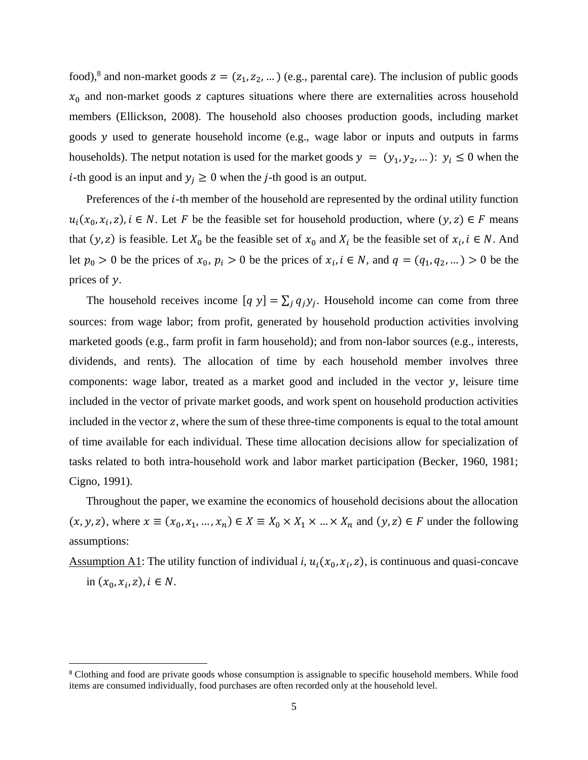food),<sup>8</sup> and non-market goods  $z = (z_1, z_2, ...)$  (e.g., parental care). The inclusion of public goods  $x_0$  and non-market goods z captures situations where there are externalities across household members (Ellickson, 2008). The household also chooses production goods, including market goods  $y$  used to generate household income (e.g., wage labor or inputs and outputs in farms households). The netput notation is used for the market goods  $y = (y_1, y_2, ...)$ :  $y_i \le 0$  when the *i*-th good is an input and  $y_j \ge 0$  when the *j*-th good is an output.

Preferences of the  $i$ -th member of the household are represented by the ordinal utility function  $u_i(x_0, x_i, z)$ ,  $i \in N$ . Let F be the feasible set for household production, where  $(y, z) \in F$  means that  $(y, z)$  is feasible. Let  $X_0$  be the feasible set of  $x_0$  and  $X_i$  be the feasible set of  $x_i$ ,  $i \in N$ . And let  $p_0 > 0$  be the prices of  $x_0, p_i > 0$  be the prices of  $x_i, i \in N$ , and  $q = (q_1, q_2, ...) > 0$  be the prices of y.

The household receives income  $[q y] = \sum_j q_j y_j$ . Household income can come from three sources: from wage labor; from profit, generated by household production activities involving marketed goods (e.g., farm profit in farm household); and from non-labor sources (e.g., interests, dividends, and rents). The allocation of time by each household member involves three components: wage labor, treated as a market good and included in the vector  $y$ , leisure time included in the vector of private market goods, and work spent on household production activities included in the vector z, where the sum of these three-time components is equal to the total amount of time available for each individual. These time allocation decisions allow for specialization of tasks related to both intra-household work and labor market participation (Becker, 1960, 1981; Cigno, 1991).

Throughout the paper, we examine the economics of household decisions about the allocation  $(x, y, z)$ , where  $x \equiv (x_0, x_1, ..., x_n) \in X \equiv X_0 \times X_1 \times ... \times X_n$  and  $(y, z) \in F$  under the following assumptions:

Assumption A1: The utility function of individual *i*,  $u_i(x_0, x_i, z)$ , is continuous and quasi-concave

in  $(x_0, x_i, z)$ ,  $i \in N$ .

<sup>8</sup> Clothing and food are private goods whose consumption is assignable to specific household members. While food items are consumed individually, food purchases are often recorded only at the household level.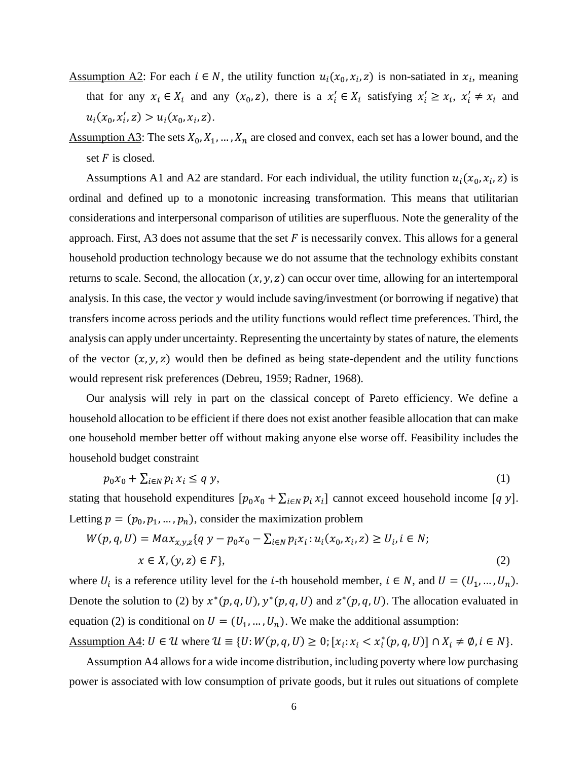- Assumption A2: For each  $i \in N$ , the utility function  $u_i(x_0, x_i, z)$  is non-satiated in  $x_i$ , meaning that for any  $x_i \in X_i$  and any  $(x_0, z)$ , there is a  $x'_i \in X_i$  satisfying  $x'_i \ge x_i$ ,  $x'_i \ne x_i$  and  $u_i(x_0, x'_i, z) > u_i(x_0, x_i, z).$
- Assumption A3: The sets  $X_0, X_1, ..., X_n$  are closed and convex, each set has a lower bound, and the set  $F$  is closed.

Assumptions A1 and A2 are standard. For each individual, the utility function  $u_i(x_0, x_i, z)$  is ordinal and defined up to a monotonic increasing transformation. This means that utilitarian considerations and interpersonal comparison of utilities are superfluous. Note the generality of the approach. First, A3 does not assume that the set  $F$  is necessarily convex. This allows for a general household production technology because we do not assume that the technology exhibits constant returns to scale. Second, the allocation  $(x, y, z)$  can occur over time, allowing for an intertemporal analysis. In this case, the vector  $\gamma$  would include saving/investment (or borrowing if negative) that transfers income across periods and the utility functions would reflect time preferences. Third, the analysis can apply under uncertainty. Representing the uncertainty by states of nature, the elements of the vector  $(x, y, z)$  would then be defined as being state-dependent and the utility functions would represent risk preferences (Debreu, 1959; Radner, 1968).

Our analysis will rely in part on the classical concept of Pareto efficiency. We define a household allocation to be efficient if there does not exist another feasible allocation that can make one household member better off without making anyone else worse off. Feasibility includes the household budget constraint

$$
p_0 x_0 + \sum_{i \in N} p_i x_i \le q y,\tag{1}
$$

stating that household expenditures  $[p_0x_0 + \sum_{i \in N} p_i x_i]$  cannot exceed household income [q y]. Letting  $p = (p_0, p_1, ..., p_n)$ , consider the maximization problem

$$
W(p,q,U) = Max_{x,y,z} \{ q y - p_0 x_0 - \sum_{i \in N} p_i x_i : u_i(x_0, x_i, z) \ge U_i, i \in N; x \in X, (y, z) \in F \},
$$
\n(2)

where  $U_i$  is a reference utility level for the *i*-th household member,  $i \in N$ , and  $U = (U_1, ..., U_n)$ . Denote the solution to (2) by  $x^*(p, q, U)$ ,  $y^*(p, q, U)$  and  $z^*(p, q, U)$ . The allocation evaluated in equation (2) is conditional on  $U = (U_1, ..., U_n)$ . We make the additional assumption:

Assumption A4:  $U \in \mathcal{U}$  where  $\mathcal{U} \equiv \{U : W(p, q, U) \geq 0; [\mathbf{x}_i : \mathbf{x}_i < \mathbf{x}_i^*(p, q, U)] \cap \mathbf{X}_i \neq \emptyset, i \in \mathbb{N}\}.$ 

Assumption A4 allows for a wide income distribution, including poverty where low purchasing power is associated with low consumption of private goods, but it rules out situations of complete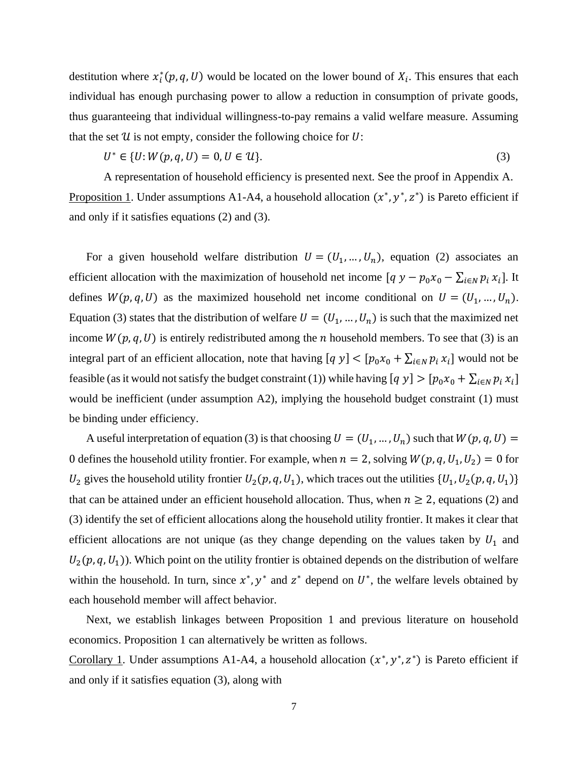destitution where  $x_i^*(p, q, U)$  would be located on the lower bound of  $X_i$ . This ensures that each individual has enough purchasing power to allow a reduction in consumption of private goods, thus guaranteeing that individual willingness-to-pay remains a valid welfare measure. Assuming that the set  $U$  is not empty, consider the following choice for  $U$ :

$$
U^* \in \{U: W(p, q, U) = 0, U \in \mathcal{U}\}.
$$
\n(3)

A representation of household efficiency is presented next. See the proof in Appendix A. Proposition 1. Under assumptions A1-A4, a household allocation  $(x^*, y^*, z^*)$  is Pareto efficient if and only if it satisfies equations (2) and (3).

For a given household welfare distribution  $U = (U_1, ..., U_n)$ , equation (2) associates an efficient allocation with the maximization of household net income  $[q y - p_0 x_0 - \sum_{i \in N} p_i x_i]$ . It defines  $W(p, q, U)$  as the maximized household net income conditional on  $U = (U_1, ..., U_n)$ . Equation (3) states that the distribution of welfare  $U = (U_1, ..., U_n)$  is such that the maximized net income  $W(p, q, U)$  is entirely redistributed among the *n* household members. To see that (3) is an integral part of an efficient allocation, note that having  $[q y] < [p_0 x_0 + \sum_{i \in N} p_i x_i]$  would not be feasible (as it would not satisfy the budget constraint (1)) while having  $[q y] > [p_0 x_0 + \sum_{i \in N} p_i x_i]$ would be inefficient (under assumption A2), implying the household budget constraint (1) must be binding under efficiency.

A useful interpretation of equation (3) is that choosing  $U = (U_1, ..., U_n)$  such that  $W(p, q, U)$ 0 defines the household utility frontier. For example, when  $n = 2$ , solving  $W(p, q, U_1, U_2) = 0$  for  $U_2$  gives the household utility frontier  $U_2(p, q, U_1)$ , which traces out the utilities  $\{U_1, U_2(p, q, U_1)\}$ that can be attained under an efficient household allocation. Thus, when  $n \ge 2$ , equations (2) and (3) identify the set of efficient allocations along the household utility frontier. It makes it clear that efficient allocations are not unique (as they change depending on the values taken by  $U_1$  and  $U_2(p, q, U_1)$ ). Which point on the utility frontier is obtained depends on the distribution of welfare within the household. In turn, since  $x^*$ ,  $y^*$  and  $z^*$  depend on  $U^*$ , the welfare levels obtained by each household member will affect behavior.

Next, we establish linkages between Proposition 1 and previous literature on household economics. Proposition 1 can alternatively be written as follows.

Corollary 1. Under assumptions A1-A4, a household allocation  $(x^*, y^*, z^*)$  is Pareto efficient if and only if it satisfies equation (3), along with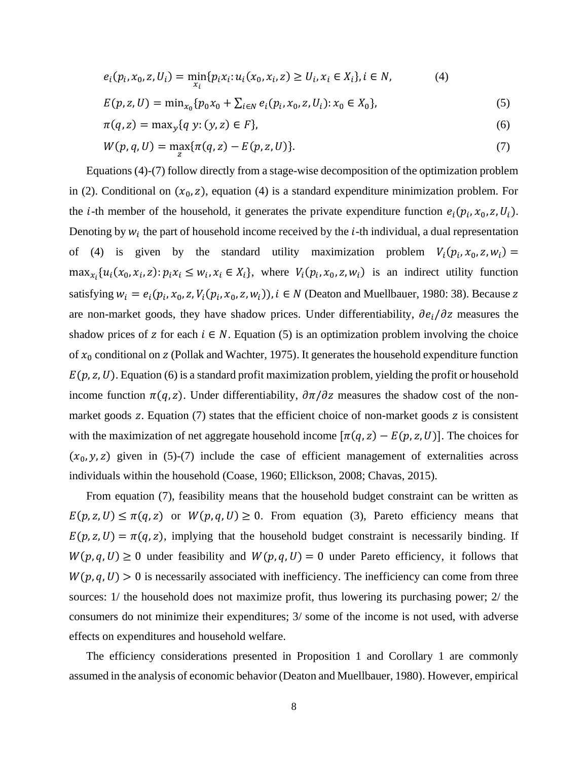$$
e_i(p_i, x_0, z, U_i) = \min_{x_i} \{p_i x_i : u_i(x_0, x_i, z) \ge U_i, x_i \in X_i\}, i \in N,
$$
\n(4)

$$
E(p, z, U) = \min_{x_0} \{ p_0 x_0 + \sum_{i \in N} e_i(p_i, x_0, z, U_i) : x_0 \in X_0 \},\tag{5}
$$

$$
\pi(q, z) = \max_{y} \{ q \ y: (y, z) \in F \},\tag{6}
$$

$$
W(p,q,U) = \max_{z} \{ \pi(q,z) - E(p,z,U) \}. \tag{7}
$$

Equations (4)-(7) follow directly from a stage-wise decomposition of the optimization problem in (2). Conditional on  $(x_0, z)$ , equation (4) is a standard expenditure minimization problem. For the *i*-th member of the household, it generates the private expenditure function  $e_i(p_i, x_0, z, U_i)$ . Denoting by  $w_i$  the part of household income received by the *i*-th individual, a dual representation of (4) is given by the standard utility maximization problem  $V_i(p_i, x_0, z, w_i) =$  $\max_{x_i} \{u_i(x_0, x_i, z): p_i x_i \leq w_i, x_i \in X_i\}$ , where  $V_i(p_i, x_0, z, w_i)$  is an indirect utility function satisfying  $w_i = e_i(p_i, x_0, z, V_i(p_i, x_0, z, w_i))$ ,  $i \in N$  (Deaton and Muellbauer, 1980: 38). Because z are non-market goods, they have shadow prices. Under differentiability,  $\partial e_i/\partial z$  measures the shadow prices of z for each  $i \in N$ . Equation (5) is an optimization problem involving the choice of  $x_0$  conditional on z (Pollak and Wachter, 1975). It generates the household expenditure function  $E(p, z, U)$ . Equation (6) is a standard profit maximization problem, yielding the profit or household income function  $\pi(q, z)$ . Under differentiability,  $\partial \pi/\partial z$  measures the shadow cost of the nonmarket goods  $z$ . Equation  $(7)$  states that the efficient choice of non-market goods  $z$  is consistent with the maximization of net aggregate household income  $[\pi(q, z) - E(p, z, U)]$ . The choices for  $(x_0, y, z)$  given in (5)-(7) include the case of efficient management of externalities across individuals within the household (Coase, 1960; Ellickson, 2008; Chavas, 2015).

From equation (7), feasibility means that the household budget constraint can be written as  $E(p, z, U) \leq \pi(q, z)$  or  $W(p, q, U) \geq 0$ . From equation (3), Pareto efficiency means that  $E(p, z, U) = \pi(q, z)$ , implying that the household budget constraint is necessarily binding. If  $W(p, q, U) \ge 0$  under feasibility and  $W(p, q, U) = 0$  under Pareto efficiency, it follows that  $W(p, q, U) > 0$  is necessarily associated with inefficiency. The inefficiency can come from three sources: 1/ the household does not maximize profit, thus lowering its purchasing power; 2/ the consumers do not minimize their expenditures; 3/ some of the income is not used, with adverse effects on expenditures and household welfare.

The efficiency considerations presented in Proposition 1 and Corollary 1 are commonly assumed in the analysis of economic behavior (Deaton and Muellbauer, 1980). However, empirical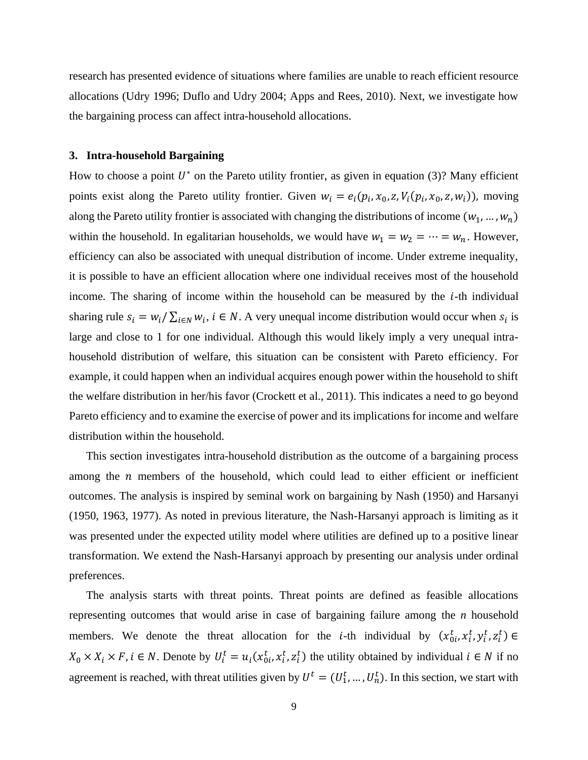research has presented evidence of situations where families are unable to reach efficient resource allocations (Udry 1996; Duflo and Udry 2004; Apps and Rees, 2010). Next, we investigate how the bargaining process can affect intra-household allocations.

#### **3. Intra-household Bargaining**

How to choose a point  $U^*$  on the Pareto utility frontier, as given in equation (3)? Many efficient points exist along the Pareto utility frontier. Given  $w_i = e_i(p_i, x_0, z, V_i(p_i, x_0, z, w_i))$ , moving along the Pareto utility frontier is associated with changing the distributions of income  $(w_1, ..., w_n)$ within the household. In egalitarian households, we would have  $w_1 = w_2 = \cdots = w_n$ . However, efficiency can also be associated with unequal distribution of income. Under extreme inequality, it is possible to have an efficient allocation where one individual receives most of the household income. The sharing of income within the household can be measured by the  $i$ -th individual sharing rule  $s_i = w_i / \sum_{i \in N} w_i$ ,  $i \in N$ . A very unequal income distribution would occur when  $s_i$  is large and close to 1 for one individual. Although this would likely imply a very unequal intrahousehold distribution of welfare, this situation can be consistent with Pareto efficiency. For example, it could happen when an individual acquires enough power within the household to shift the welfare distribution in her/his favor (Crockett et al., 2011). This indicates a need to go beyond Pareto efficiency and to examine the exercise of power and its implications for income and welfare distribution within the household.

This section investigates intra-household distribution as the outcome of a bargaining process among the  $n$  members of the household, which could lead to either efficient or inefficient outcomes. The analysis is inspired by seminal work on bargaining by Nash (1950) and Harsanyi (1950, 1963, 1977). As noted in previous literature, the Nash-Harsanyi approach is limiting as it was presented under the expected utility model where utilities are defined up to a positive linear transformation. We extend the Nash-Harsanyi approach by presenting our analysis under ordinal preferences.

The analysis starts with threat points. Threat points are defined as feasible allocations representing outcomes that would arise in case of bargaining failure among the *n* household members. We denote the threat allocation for the *i*-th individual by  $(x_{0i}^t, x_i^t, y_i^t, z_i^t) \in$  $X_0 \times X_i \times F$ ,  $i \in N$ . Denote by  $U_i^t = u_i(x_{0i}^t, x_i^t, z_i^t)$  the utility obtained by individual  $i \in N$  if no agreement is reached, with threat utilities given by  $U^t = (U_1^t, ..., U_n^t)$ . In this section, we start with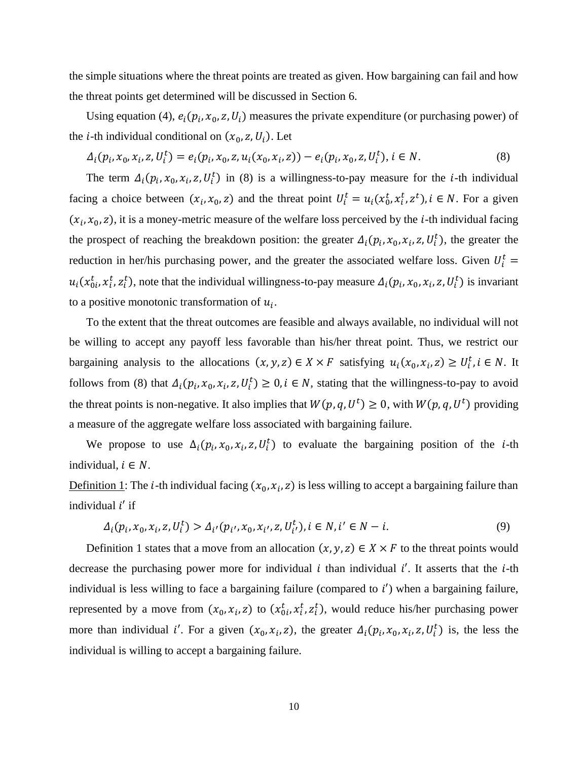the simple situations where the threat points are treated as given. How bargaining can fail and how the threat points get determined will be discussed in Section 6.

Using equation (4),  $e_i(p_i, x_0, z, U_i)$  measures the private expenditure (or purchasing power) of the *i*-th individual conditional on  $(x_0, z, U_i)$ . Let

$$
\Delta_i(p_i, x_0, x_i, z, U_i^t) = e_i(p_i, x_0, z, u_i(x_0, x_i, z)) - e_i(p_i, x_0, z, U_i^t), i \in N.
$$
\n(8)

The term  $\Delta_i(p_i, x_0, x_i, z, U_i^t)$  in (8) is a willingness-to-pay measure for the *i*-th individual facing a choice between  $(x_i, x_0, z)$  and the threat point  $U_i^t = u_i(x_0^t, x_i^t, z^t), i \in N$ . For a given  $(x_i, x_0, z)$ , it is a money-metric measure of the welfare loss perceived by the *i*-th individual facing the prospect of reaching the breakdown position: the greater  $\Delta_i(p_i, x_0, x_i, z, U_i^t)$ , the greater the reduction in her/his purchasing power, and the greater the associated welfare loss. Given  $U_i^t$  =  $u_i(x_{0i}^t, x_i^t, z_i^t)$ , note that the individual willingness-to-pay measure  $\Delta_i(p_i, x_0, x_i, z, U_i^t)$  is invariant to a positive monotonic transformation of  $u_i$ .

To the extent that the threat outcomes are feasible and always available, no individual will not be willing to accept any payoff less favorable than his/her threat point. Thus, we restrict our bargaining analysis to the allocations  $(x, y, z) \in X \times F$  satisfying  $u_i(x_0, x_i, z) \ge U_i^t$ ,  $i \in N$ . It follows from (8) that  $\Delta_i(p_i, x_0, x_i, z, U_i^t) \geq 0, i \in N$ , stating that the willingness-to-pay to avoid the threat points is non-negative. It also implies that  $W(p,q,U^t) \ge 0$ , with  $W(p,q,U^t)$  providing a measure of the aggregate welfare loss associated with bargaining failure.

We propose to use  $\Delta_i(p_i, x_0, x_i, z, U_i^t)$  to evaluate the bargaining position of the *i*-th individual,  $i \in N$ .

Definition 1: The *i*-th individual facing  $(x_0, x_i, z)$  is less willing to accept a bargaining failure than individual  $i'$  if

$$
\Delta_i(p_i, x_0, x_i, z, U_i^t) > \Delta_{i'}(p_{i'}, x_0, x_{i'}, z, U_{i'}^t), i \in N, i' \in N - i. \tag{9}
$$

Definition 1 states that a move from an allocation  $(x, y, z) \in X \times F$  to the threat points would decrease the purchasing power more for individual i than individual i'. It asserts that the  $i$ -th individual is less willing to face a bargaining failure (compared to  $i'$ ) when a bargaining failure, represented by a move from  $(x_0, x_i, z)$  to  $(x_0^t, x_i^t, z_i^t)$ , would reduce his/her purchasing power more than individual i'. For a given  $(x_0, x_i, z)$ , the greater  $\Delta_i(p_i, x_0, x_i, z, U_i^t)$  is, the less the individual is willing to accept a bargaining failure.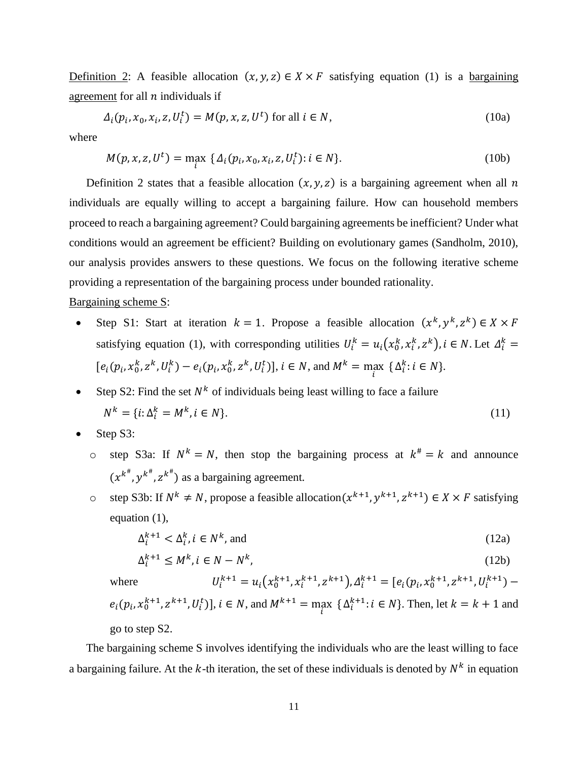Definition 2: A feasible allocation  $(x, y, z) \in X \times F$  satisfying equation (1) is a bargaining agreement for all  $n$  individuals if

$$
\Delta_i(p_i, x_0, x_i, z, U_i^t) = M(p, x, z, U^t) \text{ for all } i \in N,
$$
\n(10a)

where

$$
M(p, x, z, U^t) = \max_i \{ \Delta_i(p_i, x_0, x_i, z, U_i^t) : i \in N \}.
$$
 (10b)

Definition 2 states that a feasible allocation  $(x, y, z)$  is a bargaining agreement when all n individuals are equally willing to accept a bargaining failure. How can household members proceed to reach a bargaining agreement? Could bargaining agreements be inefficient? Under what conditions would an agreement be efficient? Building on evolutionary games (Sandholm, 2010), our analysis provides answers to these questions. We focus on the following iterative scheme providing a representation of the bargaining process under bounded rationality.

#### Bargaining scheme S:

- Step S1: Start at iteration  $k = 1$ . Propose a feasible allocation  $(x^k, y^k, z^k) \in X \times F$ satisfying equation (1), with corresponding utilities  $U_i^k = u_i(x_0^k, x_i^k, z^k)$ ,  $i \in N$ . Let  $\Delta_i^k =$  $[e_i(p_i, x_0^k, z^k, U_i^k) - e_i(p_i, x_0^k, z^k, U_i^t)], i \in N$ , and  $M^k = \max_i {\{\Delta_i^k : i \in N\}}$ .
- Step S2: Find the set  $N^k$  of individuals being least willing to face a failure  $N^k = \{i : \Delta_i^k = M^k, i \in N\}.$  (11)
- Step S3:
	- o step S3a: If  $N^k = N$ , then stop the bargaining process at  $k^* = k$  and announce  $(x^{k^{\#}}, y^{k^{\#}}, z^{k^{\#}})$  as a bargaining agreement.
	- o step S3b: If  $N^k \neq N$ , propose a feasible allocation $(x^{k+1}, y^{k+1}, z^{k+1}) \in X \times F$  satisfying equation (1),

$$
\Delta_i^{k+1} < \Delta_i^k, i \in N^k, \text{ and} \tag{12a}
$$

$$
\Delta_i^{k+1} \le M^k, i \in N - N^k,\tag{12b}
$$

where  $a_i^{k+1} = u_i(x_0^{k+1}, x_i^{k+1}, z^{k+1}), \Delta_i^{k+1} = [e_i(p_i, x_0^{k+1}, z^{k+1}, U_i^{k+1})$  $e_i(p_i, x_0^{k+1}, z^{k+1}, U_i^t)$ ,  $i \in N$ , and  $M^{k+1} = \max_i {\{\Delta_i^{k+1}: i \in N\}}$ . Then, let  $k = k+1$  and go to step S2.

The bargaining scheme S involves identifying the individuals who are the least willing to face a bargaining failure. At the k-th iteration, the set of these individuals is denoted by  $N^k$  in equation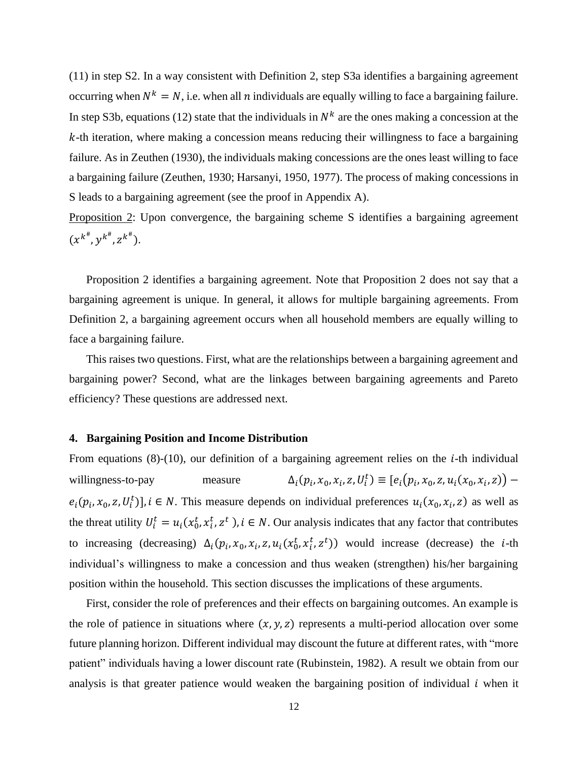(11) in step S2. In a way consistent with Definition 2, step S3a identifies a bargaining agreement occurring when  $N^k = N$ , i.e. when all *n* individuals are equally willing to face a bargaining failure. In step S3b, equations (12) state that the individuals in  $N^k$  are the ones making a concession at the  $k$ -th iteration, where making a concession means reducing their willingness to face a bargaining failure. As in Zeuthen (1930), the individuals making concessions are the ones least willing to face a bargaining failure (Zeuthen, 1930; Harsanyi, 1950, 1977). The process of making concessions in S leads to a bargaining agreement (see the proof in Appendix A).

Proposition 2: Upon convergence, the bargaining scheme S identifies a bargaining agreement  $(x^{k^{\#}}, y^{k^{\#}}, z^{k^{\#}}).$ 

Proposition 2 identifies a bargaining agreement. Note that Proposition 2 does not say that a bargaining agreement is unique. In general, it allows for multiple bargaining agreements. From Definition 2, a bargaining agreement occurs when all household members are equally willing to face a bargaining failure.

This raises two questions. First, what are the relationships between a bargaining agreement and bargaining power? Second, what are the linkages between bargaining agreements and Pareto efficiency? These questions are addressed next.

#### **4. Bargaining Position and Income Distribution**

From equations  $(8)-(10)$ , our definition of a bargaining agreement relies on the *i*-th individual willingness-to-pay measure  $(p_i, x_0, x_i, z, U_i^t) \equiv [e_i(p_i, x_0, z, u_i(x_0, x_i, z))$  $e_i(p_i, x_0, z, U_i^t)$ ,  $i \in N$ . This measure depends on individual preferences  $u_i(x_0, x_i, z)$  as well as the threat utility  $U_i^t = u_i(x_0^t, x_i^t, z^t)$ ,  $i \in N$ . Our analysis indicates that any factor that contributes to increasing (decreasing)  $\Delta_i(p_i, x_0, x_i, z, u_i(x_0^t, x_i^t, z^t))$  would increase (decrease) the *i*-th individual's willingness to make a concession and thus weaken (strengthen) his/her bargaining position within the household. This section discusses the implications of these arguments.

First, consider the role of preferences and their effects on bargaining outcomes. An example is the role of patience in situations where  $(x, y, z)$  represents a multi-period allocation over some future planning horizon. Different individual may discount the future at different rates, with "more patient" individuals having a lower discount rate (Rubinstein, 1982). A result we obtain from our analysis is that greater patience would weaken the bargaining position of individual  $i$  when it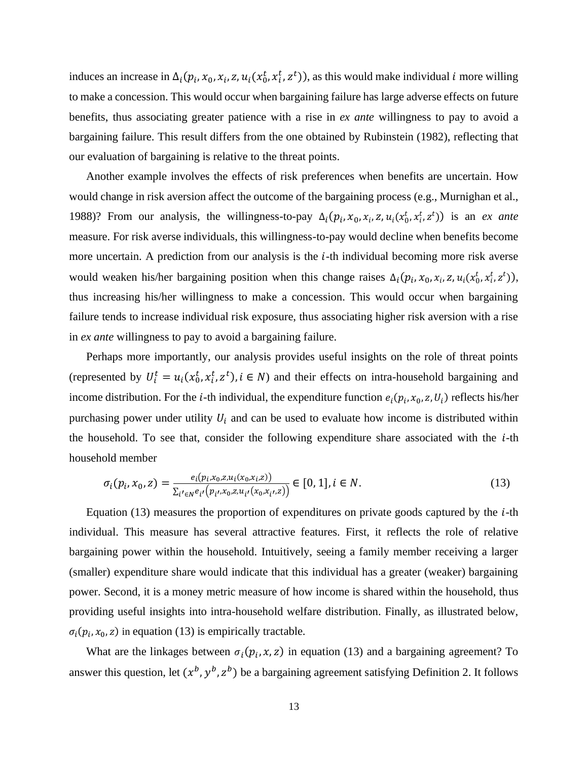induces an increase in  $\Delta_i(p_i, x_0, x_i, z, u_i(x_0^t, x_i^t, z^t))$ , as this would make individual *i* more willing to make a concession. This would occur when bargaining failure has large adverse effects on future benefits, thus associating greater patience with a rise in *ex ante* willingness to pay to avoid a bargaining failure. This result differs from the one obtained by Rubinstein (1982), reflecting that our evaluation of bargaining is relative to the threat points.

Another example involves the effects of risk preferences when benefits are uncertain. How would change in risk aversion affect the outcome of the bargaining process (e.g., Murnighan et al., 1988)? From our analysis, the willingness-to-pay  $\Delta_i(p_i, x_0, x_i, z, u_i(x_0^t, x_i^t, z^t))$  is an *ex ante* measure. For risk averse individuals, this willingness-to-pay would decline when benefits become more uncertain. A prediction from our analysis is the  $i$ -th individual becoming more risk averse would weaken his/her bargaining position when this change raises  $\Delta_i(p_i, x_0, x_i, z, u_i(x_0^t, x_i^t, z^t)),$ thus increasing his/her willingness to make a concession. This would occur when bargaining failure tends to increase individual risk exposure, thus associating higher risk aversion with a rise in *ex ante* willingness to pay to avoid a bargaining failure.

Perhaps more importantly, our analysis provides useful insights on the role of threat points (represented by  $U_i^t = u_i(x_0^t, x_i^t, z^t), i \in N$ ) and their effects on intra-household bargaining and income distribution. For the *i*-th individual, the expenditure function  $e_i(p_i, x_0, z, U_i)$  reflects his/her purchasing power under utility  $U_i$  and can be used to evaluate how income is distributed within the household. To see that, consider the following expenditure share associated with the  $i$ -th household member

$$
\sigma_i(p_i, x_0, z) = \frac{e_i(p_i, x_0, z, u_i(x_0, x_i, z))}{\sum_{i' \in N} e_{i'}(p_{i'}, x_0, z, u_{i'}(x_0, x_{i'}, z))} \in [0, 1], i \in N.
$$
\n(13)

Equation  $(13)$  measures the proportion of expenditures on private goods captured by the *i*-th individual. This measure has several attractive features. First, it reflects the role of relative bargaining power within the household. Intuitively, seeing a family member receiving a larger (smaller) expenditure share would indicate that this individual has a greater (weaker) bargaining power. Second, it is a money metric measure of how income is shared within the household, thus providing useful insights into intra-household welfare distribution. Finally, as illustrated below,  $\sigma_i(p_i, x_0, z)$  in equation (13) is empirically tractable.

What are the linkages between  $\sigma_i(p_i, x, z)$  in equation (13) and a bargaining agreement? To answer this question, let  $(x^b, y^b, z^b)$  be a bargaining agreement satisfying Definition 2. It follows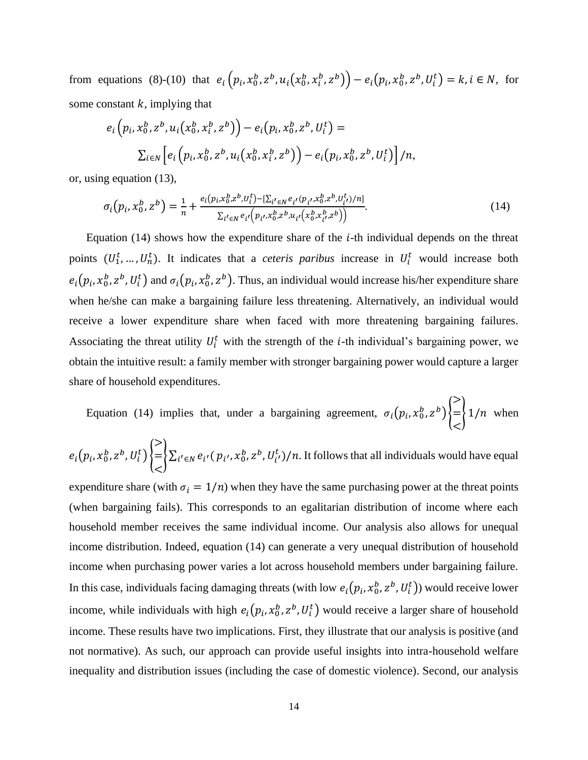from equations (8)-(10) that  $e_i (p_i, x_0^b, z^b, u_i (x_0^b, x_i^b, z^b)) - e_i (p_i, x_0^b, z^b, U_i^t) = k, i \in N$ , for some constant  $k$ , implying that

$$
e_i\left(p_i, x_0^b, z^b, u_i(x_0^b, x_i^b, z^b)\right) - e_i\left(p_i, x_0^b, z^b, U_i^t\right) =
$$
  

$$
\sum_{i \in N} \left[ e_i\left(p_i, x_0^b, z^b, u_i(x_0^b, x_i^b, z^b)\right) - e_i\left(p_i, x_0^b, z^b, U_i^t\right) \right] / n,
$$

or, using equation (13),

$$
\sigma_i(p_i, x_0^b, z^b) = \frac{1}{n} + \frac{e_i(p_i, x_0^b, z^b, U_i^t) - [\sum_{i' \in N} e_{i'}(p_{i'}, x_0^b, z^b, U_{i'}^t)/n]}{\sum_{i' \in N} e_{i'}(p_{i'}, x_0^b, z^b, u_{i'}(x_0^b, x_{i'}^b, z^b))}.
$$
\n(14)

Equation  $(14)$  shows how the expenditure share of the *i*-th individual depends on the threat points  $(U_1^t, ..., U_n^t)$ . It indicates that a *ceteris paribus* increase in  $U_i^t$  would increase both  $e_i(p_i, x_0^b, z^b, U_i^t)$  and  $\sigma_i(p_i, x_0^b, z^b)$ . Thus, an individual would increase his/her expenditure share when he/she can make a bargaining failure less threatening. Alternatively, an individual would receive a lower expenditure share when faced with more threatening bargaining failures. Associating the threat utility  $U_i^t$  with the strength of the *i*-th individual's bargaining power, we obtain the intuitive result: a family member with stronger bargaining power would capture a larger share of household expenditures.

Equation (14) implies that, under a bargaining agreement,  $\sigma_i(p_i, x_0^b, z^b)\}$ > =  $\lt$  $\{1/n$  when

$$
e_i(p_i, x_0^b, z^b, U_i^t) \begin{cases} \ge \\ = \\ \le \end{cases} \sum_{i' \in N} e_{i'}(p_{i'}, x_0^b, z^b, U_{i'}^t) / n.
$$
 It follows that all individuals would have equal

expenditure share (with  $\sigma_i = 1/n$ ) when they have the same purchasing power at the threat points (when bargaining fails). This corresponds to an egalitarian distribution of income where each household member receives the same individual income. Our analysis also allows for unequal income distribution. Indeed, equation (14) can generate a very unequal distribution of household income when purchasing power varies a lot across household members under bargaining failure. In this case, individuals facing damaging threats (with low  $e_i(p_i, x_0^b, z^b, U_i^t)$ ) would receive lower income, while individuals with high  $e_i(p_i, x_0^b, z^b, U_i^t)$  would receive a larger share of household income. These results have two implications. First, they illustrate that our analysis is positive (and not normative). As such, our approach can provide useful insights into intra-household welfare inequality and distribution issues (including the case of domestic violence). Second, our analysis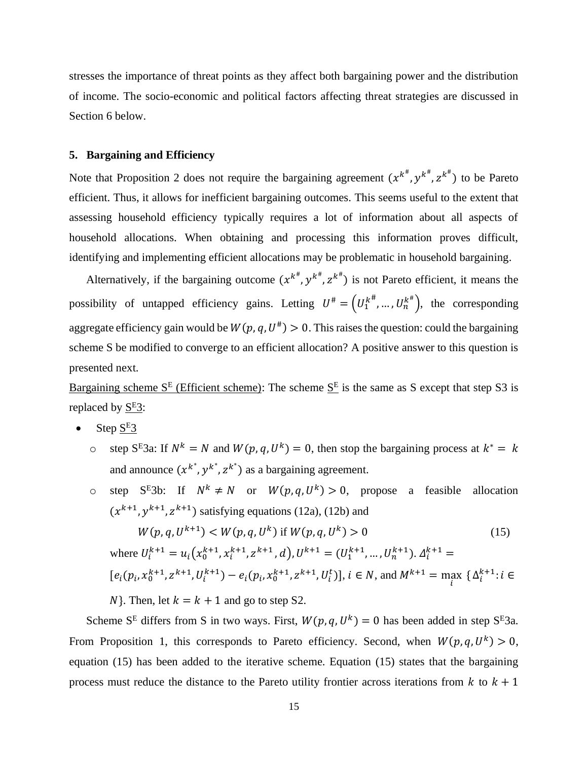stresses the importance of threat points as they affect both bargaining power and the distribution of income. The socio-economic and political factors affecting threat strategies are discussed in Section 6 below.

#### **5. Bargaining and Efficiency**

Note that Proposition 2 does not require the bargaining agreement  $(x^{k^{\#}}, y^{k^{\#}}, z^{k^{\#}})$  to be Pareto efficient. Thus, it allows for inefficient bargaining outcomes. This seems useful to the extent that assessing household efficiency typically requires a lot of information about all aspects of household allocations. When obtaining and processing this information proves difficult, identifying and implementing efficient allocations may be problematic in household bargaining.

Alternatively, if the bargaining outcome  $(x^{k^{\#}}, y^{k^{\#}}, z^{k^{\#}})$  is not Pareto efficient, it means the possibility of untapped efficiency gains. Letting  $U^* = (U_1^{k^*}, ..., U_n^{k^*})$ , the corresponding aggregate efficiency gain would be  $W(p, q, U^*) > 0$ . This raises the question: could the bargaining scheme S be modified to converge to an efficient allocation? A positive answer to this question is presented next.

Bargaining scheme  $S^E$  (Efficient scheme): The scheme  $S^E$  is the same as S except that step S3 is replaced by  $S<sup>E</sup>3$ :

- Step  $S<sup>E</sup>3$ 
	- o step S<sup>E</sup>3a: If  $N^k = N$  and  $W(p, q, U^k) = 0$ , then stop the bargaining process at  $k^* = k$ and announce  $(x^{k^*}, y^{k^*}, z^{k^*})$  as a bargaining agreement.
	- o step S<sup>E</sup>3b: If  $N^k \neq N$  or  $W(p,q,U^k) > 0$ , propose a feasible allocation  $(x^{k+1}, y^{k+1}, z^{k+1})$  satisfying equations (12a), (12b) and

$$
W(p, q, U^{k+1}) < W(p, q, U^k) \text{ if } W(p, q, U^k) > 0 \tag{15}
$$
\n
$$
\text{where } U_i^{k+1} = u_i \left( x_0^{k+1}, x_i^{k+1}, z^{k+1}, d \right), U^{k+1} = \left( U_1^{k+1}, \dots, U_n^{k+1} \right). \Delta_i^{k+1} =
$$
\n
$$
\left[ e_i \left( p_i, x_0^{k+1}, z^{k+1}, U_i^{k+1} \right) - e_i \left( p_i, x_0^{k+1}, z^{k+1}, U_i^t \right) \right], i \in \mathbb{N}, \text{ and } M^{k+1} = \max_i \left\{ \Delta_i^{k+1}: i \in \mathbb{N} \right\}. \text{ Then, let } k = k+1 \text{ and go to step S2.}
$$
\n
$$
(15)
$$

Scheme S<sup>E</sup> differs from S in two ways. First,  $W(p,q,U^k) = 0$  has been added in step S<sup>E</sup>3a. From Proposition 1, this corresponds to Pareto efficiency. Second, when  $W(p, q, U^k) > 0$ , equation (15) has been added to the iterative scheme. Equation (15) states that the bargaining process must reduce the distance to the Pareto utility frontier across iterations from  $k$  to  $k + 1$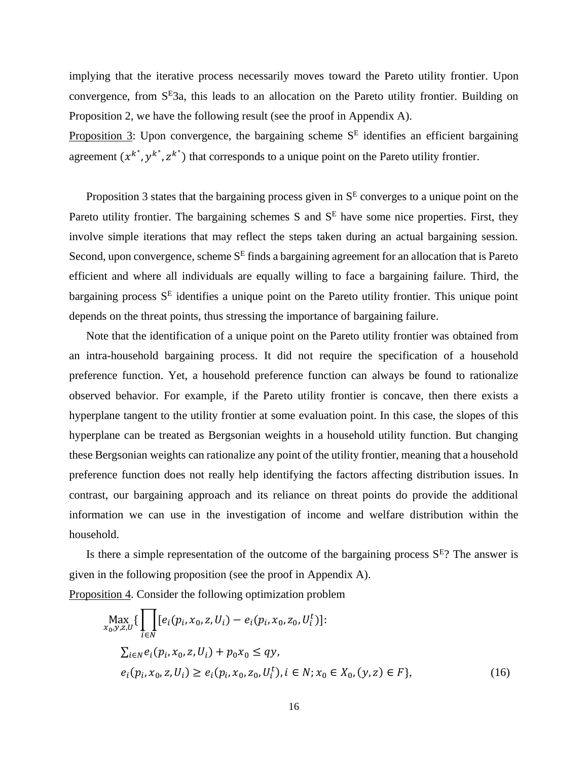implying that the iterative process necessarily moves toward the Pareto utility frontier. Upon convergence, from S<sup>E</sup>3a, this leads to an allocation on the Pareto utility frontier. Building on Proposition 2, we have the following result (see the proof in Appendix A).

Proposition 3: Upon convergence, the bargaining scheme  $S<sup>E</sup>$  identifies an efficient bargaining agreement  $(x^{k^*}, y^{k^*}, z^{k^*})$  that corresponds to a unique point on the Pareto utility frontier.

Proposition 3 states that the bargaining process given in  $S<sup>E</sup>$  converges to a unique point on the Pareto utility frontier. The bargaining schemes S and  $S<sup>E</sup>$  have some nice properties. First, they involve simple iterations that may reflect the steps taken during an actual bargaining session. Second, upon convergence, scheme  $S<sup>E</sup>$  finds a bargaining agreement for an allocation that is Pareto efficient and where all individuals are equally willing to face a bargaining failure. Third, the bargaining process  $S<sup>E</sup>$  identifies a unique point on the Pareto utility frontier. This unique point depends on the threat points, thus stressing the importance of bargaining failure.

Note that the identification of a unique point on the Pareto utility frontier was obtained from an intra-household bargaining process. It did not require the specification of a household preference function. Yet, a household preference function can always be found to rationalize observed behavior. For example, if the Pareto utility frontier is concave, then there exists a hyperplane tangent to the utility frontier at some evaluation point. In this case, the slopes of this hyperplane can be treated as Bergsonian weights in a household utility function. But changing these Bergsonian weights can rationalize any point of the utility frontier, meaning that a household preference function does not really help identifying the factors affecting distribution issues. In contrast, our bargaining approach and its reliance on threat points do provide the additional information we can use in the investigation of income and welfare distribution within the household.

Is there a simple representation of the outcome of the bargaining process  $S<sup>E</sup>$ ? The answer is given in the following proposition (see the proof in Appendix A).

Proposition 4. Consider the following optimization problem

$$
\begin{aligned}\n\max_{x_0, y, z, U} \{ \prod_{i \in N} [e_i(p_i, x_0, z, U_i) - e_i(p_i, x_0, z_0, U_i^t)] : \\
\sum_{i \in N} e_i(p_i, x_0, z, U_i) + p_0 x_0 \le q y, \\
e_i(p_i, x_0, z, U_i) \ge e_i(p_i, x_0, z_0, U_i^t), i \in N; x_0 \in X_0, (y, z) \in F \},\n\end{aligned} \tag{16}
$$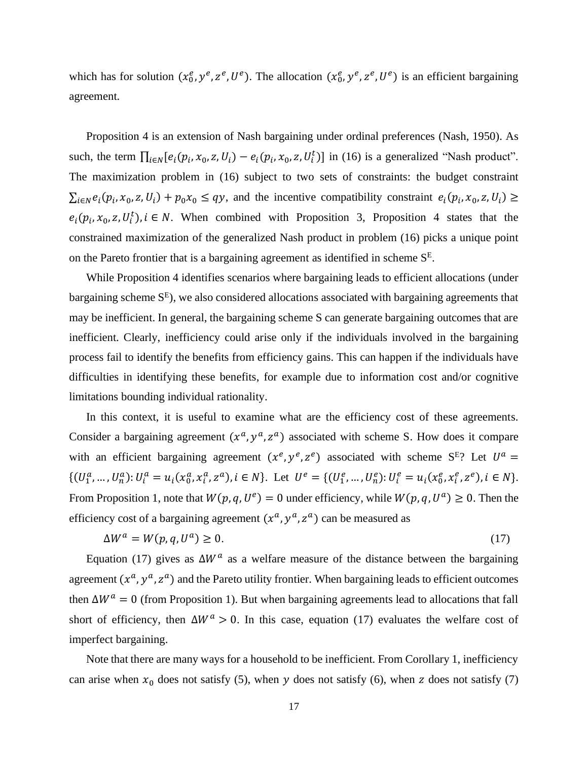which has for solution  $(x_0^e, y^e, z^e, U^e)$ . The allocation  $(x_0^e, y^e, z^e, U^e)$  is an efficient bargaining agreement.

Proposition 4 is an extension of Nash bargaining under ordinal preferences (Nash, 1950). As such, the term  $\prod_{i \in N} [e_i(p_i, x_0, z, U_i) - e_i(p_i, x_0, z, U_i^t)]$  in (16) is a generalized "Nash product". The maximization problem in (16) subject to two sets of constraints: the budget constraint  $\sum_{i \in N} e_i(p_i, x_0, z, U_i) + p_0 x_0 \le qy$ , and the incentive compatibility constraint  $e_i(p_i, x_0, z, U_i) \ge$  $e_i(p_i, x_0, z, U_i^t)$ ,  $i \in N$ . When combined with Proposition 3, Proposition 4 states that the constrained maximization of the generalized Nash product in problem (16) picks a unique point on the Pareto frontier that is a bargaining agreement as identified in scheme  $S<sup>E</sup>$ .

While Proposition 4 identifies scenarios where bargaining leads to efficient allocations (under bargaining scheme  $S<sup>E</sup>$ ), we also considered allocations associated with bargaining agreements that may be inefficient. In general, the bargaining scheme S can generate bargaining outcomes that are inefficient. Clearly, inefficiency could arise only if the individuals involved in the bargaining process fail to identify the benefits from efficiency gains. This can happen if the individuals have difficulties in identifying these benefits, for example due to information cost and/or cognitive limitations bounding individual rationality.

In this context, it is useful to examine what are the efficiency cost of these agreements. Consider a bargaining agreement  $(x^a, y^a, z^a)$  associated with scheme S. How does it compare with an efficient bargaining agreement  $(x^e, y^e, z^e)$  associated with scheme  $S<sup>E</sup>$ ? Let  $U<sup>a</sup>$  =  $\{(U_1^a, ..., U_n^a): U_i^a = u_i(x_0^a, x_i^a, z^a), i \in N\}$ . Let  $U^e = \{(U_1^e, ..., U_n^e): U_i^e = u_i(x_0^e, x_i^e, z^e), i \in N\}$ . From Proposition 1, note that  $W(p, q, U^e) = 0$  under efficiency, while  $W(p, q, U^a) \ge 0$ . Then the efficiency cost of a bargaining agreement  $(x^a, y^a, z^a)$  can be measured as

$$
\Delta W^a = W(p, q, U^a) \ge 0. \tag{17}
$$

Equation (17) gives as  $\Delta W^a$  as a welfare measure of the distance between the bargaining agreement  $(x^a, y^a, z^a)$  and the Pareto utility frontier. When bargaining leads to efficient outcomes then  $\Delta W^a = 0$  (from Proposition 1). But when bargaining agreements lead to allocations that fall short of efficiency, then  $\Delta W^a > 0$ . In this case, equation (17) evaluates the welfare cost of imperfect bargaining.

Note that there are many ways for a household to be inefficient. From Corollary 1, inefficiency can arise when  $x_0$  does not satisfy (5), when y does not satisfy (6), when z does not satisfy (7)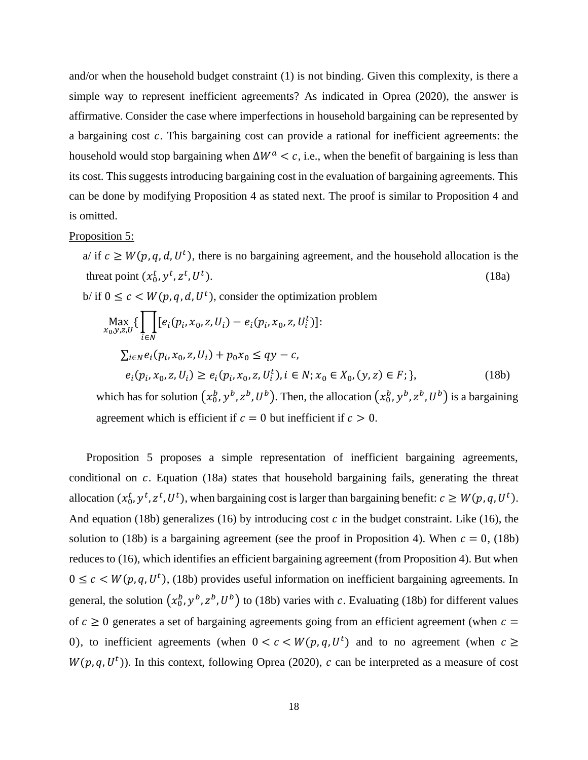and/or when the household budget constraint (1) is not binding. Given this complexity, is there a simple way to represent inefficient agreements? As indicated in Oprea (2020), the answer is affirmative. Consider the case where imperfections in household bargaining can be represented by a bargaining cost  $c$ . This bargaining cost can provide a rational for inefficient agreements: the household would stop bargaining when  $\Delta W^a \leq c$ , i.e., when the benefit of bargaining is less than its cost. This suggests introducing bargaining cost in the evaluation of bargaining agreements. This can be done by modifying Proposition 4 as stated next. The proof is similar to Proposition 4 and is omitted.

#### Proposition 5:

a/ if  $c \geq W(p, q, d, U^t)$ , there is no bargaining agreement, and the household allocation is the threat point  $(x_0^t, y^t, z^t, U^t)$  $\,$ ).  $(18a)$ b/ if  $0 \leq c \leq W(p, q, d, U^t)$ , consider the optimization problem

$$
\begin{aligned}\n\max_{x_0, y, z, U} \{ \prod_{i \in N} [e_i(p_i, x_0, z, U_i) - e_i(p_i, x_0, z, U_i^t)] : \\
\sum_{i \in N} e_i(p_i, x_0, z, U_i) + p_0 x_0 &\le qy - c, \\
e_i(p_i, x_0, z, U_i) &\ge e_i(p_i, x_0, z, U_i^t), i \in N; x_0 \in X_0, (y, z) \in F; \},\n\end{aligned}
$$
\n(18b)

which has for solution  $(x_0^b, y^b, z^b, U^b)$ . Then, the allocation  $(x_0^b, y^b, z^b, U^b)$  is a bargaining agreement which is efficient if  $c = 0$  but inefficient if  $c > 0$ .

Proposition 5 proposes a simple representation of inefficient bargaining agreements, conditional on  $c$ . Equation (18a) states that household bargaining fails, generating the threat allocation  $(x_0^t, y^t, z^t, U^t)$ , when bargaining cost is larger than bargaining benefit:  $c \geq W(p, q, U^t)$ . And equation (18b) generalizes (16) by introducing cost  $c$  in the budget constraint. Like (16), the solution to (18b) is a bargaining agreement (see the proof in Proposition 4). When  $c = 0$ , (18b) reduces to (16), which identifies an efficient bargaining agreement (from Proposition 4). But when  $0 \leq c \leq W(p, q, U^t)$ , (18b) provides useful information on inefficient bargaining agreements. In general, the solution  $(x_0^b, y^b, z^b, U^b)$  to (18b) varies with c. Evaluating (18b) for different values of  $c \ge 0$  generates a set of bargaining agreements going from an efficient agreement (when  $c =$ 0), to inefficient agreements (when  $0 < c < W(p,q,U<sup>t</sup>)$  and to no agreement (when  $c \ge$  $W(p, q, U<sup>t</sup>)$ ). In this context, following Oprea (2020), c can be interpreted as a measure of cost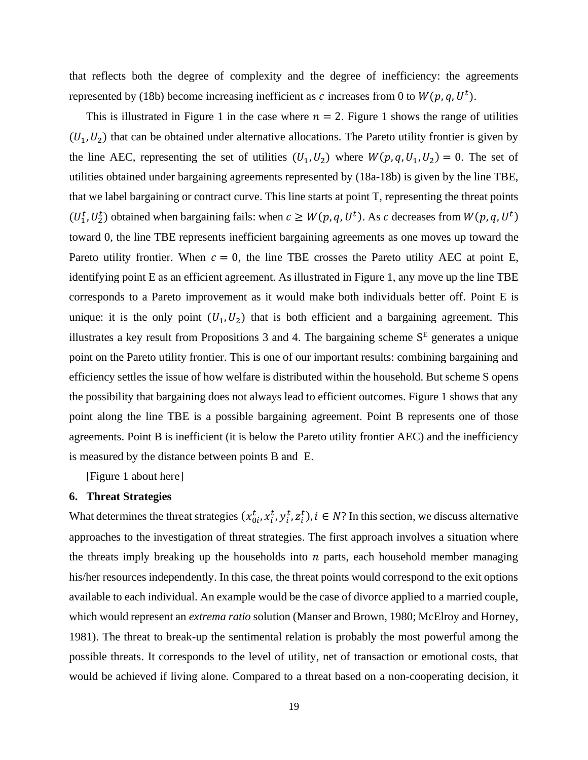that reflects both the degree of complexity and the degree of inefficiency: the agreements represented by (18b) become increasing inefficient as c increases from 0 to  $W(p, q, U^t)$ .

This is illustrated in Figure 1 in the case where  $n = 2$ . Figure 1 shows the range of utilities  $(U_1, U_2)$  that can be obtained under alternative allocations. The Pareto utility frontier is given by the line AEC, representing the set of utilities  $(U_1, U_2)$  where  $W(p, q, U_1, U_2) = 0$ . The set of utilities obtained under bargaining agreements represented by (18a-18b) is given by the line TBE, that we label bargaining or contract curve. This line starts at point T, representing the threat points  $(U_1^t, U_2^t)$  obtained when bargaining fails: when  $c \geq W(p, q, U^t)$ . As c decreases from  $W(p, q, U^t)$ toward 0, the line TBE represents inefficient bargaining agreements as one moves up toward the Pareto utility frontier. When  $c = 0$ , the line TBE crosses the Pareto utility AEC at point E, identifying point E as an efficient agreement. As illustrated in Figure 1, any move up the line TBE corresponds to a Pareto improvement as it would make both individuals better off. Point E is unique: it is the only point  $(U_1, U_2)$  that is both efficient and a bargaining agreement. This illustrates a key result from Propositions 3 and 4. The bargaining scheme  $S<sup>E</sup>$  generates a unique point on the Pareto utility frontier. This is one of our important results: combining bargaining and efficiency settles the issue of how welfare is distributed within the household. But scheme S opens the possibility that bargaining does not always lead to efficient outcomes. Figure 1 shows that any point along the line TBE is a possible bargaining agreement. Point B represents one of those agreements. Point B is inefficient (it is below the Pareto utility frontier AEC) and the inefficiency is measured by the distance between points B and E.

[Figure 1 about here]

#### **6. Threat Strategies**

What determines the threat strategies  $(x_0^t, x_i^t, y_i^t, z_i^t)$ ,  $i \in N$ ? In this section, we discuss alternative approaches to the investigation of threat strategies. The first approach involves a situation where the threats imply breaking up the households into  $n$  parts, each household member managing his/her resources independently. In this case, the threat points would correspond to the exit options available to each individual. An example would be the case of divorce applied to a married couple, which would represent an *extrema ratio* solution (Manser and Brown, 1980; McElroy and Horney, 1981). The threat to break-up the sentimental relation is probably the most powerful among the possible threats. It corresponds to the level of utility, net of transaction or emotional costs, that would be achieved if living alone. Compared to a threat based on a non-cooperating decision, it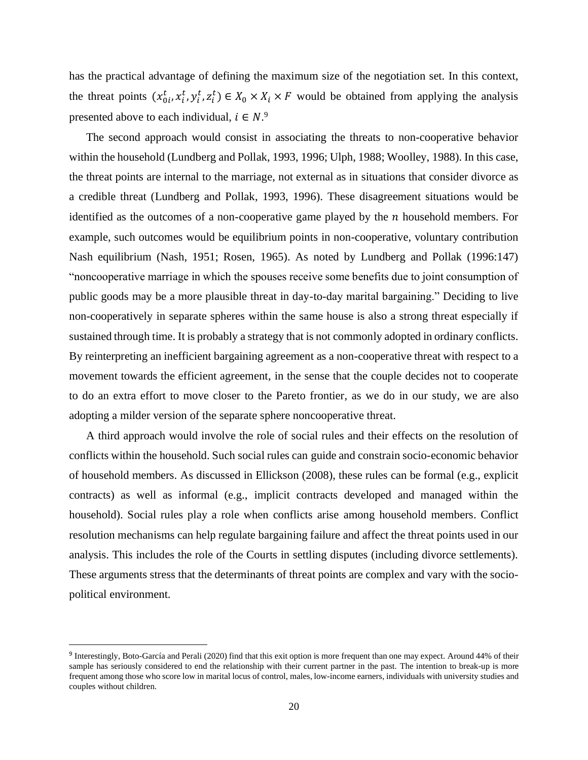has the practical advantage of defining the maximum size of the negotiation set. In this context, the threat points  $(x_0^t, x_i^t, y_i^t, z_i^t) \in X_0 \times X_i \times F$  would be obtained from applying the analysis presented above to each individual,  $i \in N$ .<sup>9</sup>

The second approach would consist in associating the threats to non-cooperative behavior within the household (Lundberg and Pollak, 1993, 1996; Ulph, 1988; Woolley, 1988). In this case, the threat points are internal to the marriage, not external as in situations that consider divorce as a credible threat (Lundberg and Pollak, 1993, 1996). These disagreement situations would be identified as the outcomes of a non-cooperative game played by the  $n$  household members. For example, such outcomes would be equilibrium points in non-cooperative, voluntary contribution Nash equilibrium (Nash, 1951; Rosen, 1965). As noted by Lundberg and Pollak (1996:147) "noncooperative marriage in which the spouses receive some benefits due to joint consumption of public goods may be a more plausible threat in day-to-day marital bargaining." Deciding to live non-cooperatively in separate spheres within the same house is also a strong threat especially if sustained through time. It is probably a strategy that is not commonly adopted in ordinary conflicts. By reinterpreting an inefficient bargaining agreement as a non-cooperative threat with respect to a movement towards the efficient agreement, in the sense that the couple decides not to cooperate to do an extra effort to move closer to the Pareto frontier, as we do in our study, we are also adopting a milder version of the separate sphere noncooperative threat.

A third approach would involve the role of social rules and their effects on the resolution of conflicts within the household. Such social rules can guide and constrain socio-economic behavior of household members. As discussed in Ellickson (2008), these rules can be formal (e.g., explicit contracts) as well as informal (e.g., implicit contracts developed and managed within the household). Social rules play a role when conflicts arise among household members. Conflict resolution mechanisms can help regulate bargaining failure and affect the threat points used in our analysis. This includes the role of the Courts in settling disputes (including divorce settlements). These arguments stress that the determinants of threat points are complex and vary with the sociopolitical environment.

<sup>&</sup>lt;sup>9</sup> Interestingly, Boto-García and Perali (2020) find that this exit option is more frequent than one may expect. Around 44% of their sample has seriously considered to end the relationship with their current partner in the past. The intention to break-up is more frequent among those who score low in marital locus of control, males, low-income earners, individuals with university studies and couples without children.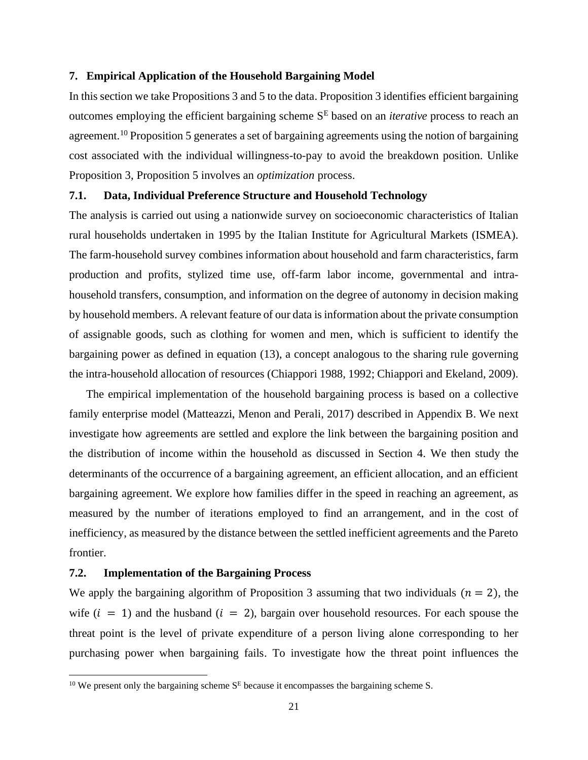#### **7. Empirical Application of the Household Bargaining Model**

In this section we take Propositions 3 and 5 to the data. Proposition 3 identifies efficient bargaining outcomes employing the efficient bargaining scheme S<sup>E</sup> based on an *iterative* process to reach an agreement.<sup>10</sup> Proposition 5 generates a set of bargaining agreements using the notion of bargaining cost associated with the individual willingness-to-pay to avoid the breakdown position. Unlike Proposition 3, Proposition 5 involves an *optimization* process.

#### **7.1. Data, Individual Preference Structure and Household Technology**

The analysis is carried out using a nationwide survey on socioeconomic characteristics of Italian rural households undertaken in 1995 by the Italian Institute for Agricultural Markets (ISMEA). The farm-household survey combines information about household and farm characteristics, farm production and profits, stylized time use, off-farm labor income, governmental and intrahousehold transfers, consumption, and information on the degree of autonomy in decision making by household members. A relevant feature of our data is information about the private consumption of assignable goods, such as clothing for women and men, which is sufficient to identify the bargaining power as defined in equation (13), a concept analogous to the sharing rule governing the intra-household allocation of resources (Chiappori 1988, 1992; Chiappori and Ekeland, 2009).

The empirical implementation of the household bargaining process is based on a collective family enterprise model (Matteazzi, Menon and Perali, 2017) described in Appendix B. We next investigate how agreements are settled and explore the link between the bargaining position and the distribution of income within the household as discussed in Section 4. We then study the determinants of the occurrence of a bargaining agreement, an efficient allocation, and an efficient bargaining agreement. We explore how families differ in the speed in reaching an agreement, as measured by the number of iterations employed to find an arrangement, and in the cost of inefficiency, as measured by the distance between the settled inefficient agreements and the Pareto frontier.

#### **7.2. Implementation of the Bargaining Process**

We apply the bargaining algorithm of Proposition 3 assuming that two individuals  $(n = 2)$ , the wife  $(i = 1)$  and the husband  $(i = 2)$ , bargain over household resources. For each spouse the threat point is the level of private expenditure of a person living alone corresponding to her purchasing power when bargaining fails. To investigate how the threat point influences the

<sup>&</sup>lt;sup>10</sup> We present only the bargaining scheme  $S<sup>E</sup>$  because it encompasses the bargaining scheme S.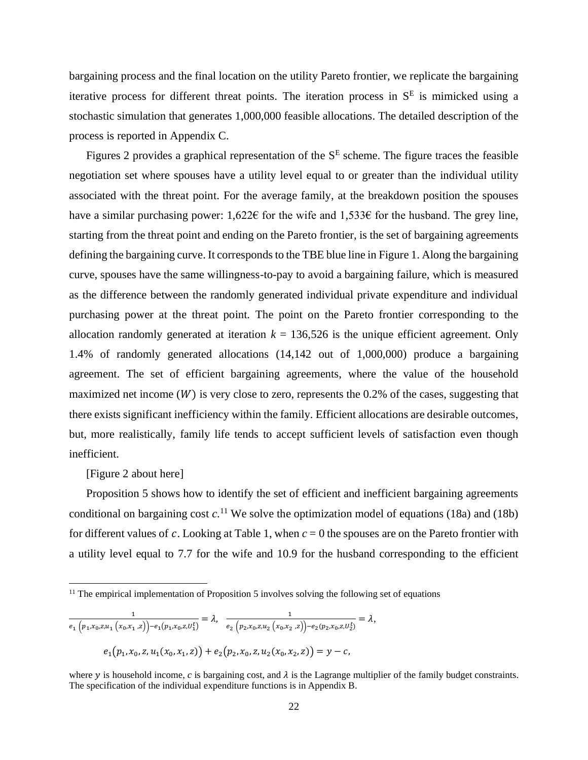bargaining process and the final location on the utility Pareto frontier, we replicate the bargaining iterative process for different threat points. The iteration process in  $S<sup>E</sup>$  is mimicked using a stochastic simulation that generates 1,000,000 feasible allocations. The detailed description of the process is reported in Appendix C.

Figures 2 provides a graphical representation of the  $S<sup>E</sup>$  scheme. The figure traces the feasible negotiation set where spouses have a utility level equal to or greater than the individual utility associated with the threat point. For the average family, at the breakdown position the spouses have a similar purchasing power: 1,622€ for the wife and 1,533€ for the husband. The grey line, starting from the threat point and ending on the Pareto frontier, is the set of bargaining agreements defining the bargaining curve. It corresponds to the TBE blue line in Figure 1. Along the bargaining curve, spouses have the same willingness-to-pay to avoid a bargaining failure, which is measured as the difference between the randomly generated individual private expenditure and individual purchasing power at the threat point. The point on the Pareto frontier corresponding to the allocation randomly generated at iteration  $k = 136,526$  is the unique efficient agreement. Only 1.4% of randomly generated allocations (14,142 out of 1,000,000) produce a bargaining agreement. The set of efficient bargaining agreements, where the value of the household maximized net income  $(W)$  is very close to zero, represents the 0.2% of the cases, suggesting that there exists significant inefficiency within the family. Efficient allocations are desirable outcomes, but, more realistically, family life tends to accept sufficient levels of satisfaction even though inefficient.

[Figure 2 about here]

Proposition 5 shows how to identify the set of efficient and inefficient bargaining agreements conditional on bargaining cost  $c$ .<sup>11</sup> We solve the optimization model of equations (18a) and (18b) for different values of c. Looking at Table 1, when  $c = 0$  the spouses are on the Pareto frontier with a utility level equal to 7.7 for the wife and 10.9 for the husband corresponding to the efficient

$$
\frac{1}{e_1\left(p_1, x_0, z, u_1\left(x_0, x_1, z\right)\right) - e_1\left(p_1, x_0, z, u_1'\right)} = \lambda, \quad \frac{1}{e_2\left(p_2, x_0, z, u_2\left(x_0, x_2, z\right)\right) - e_2\left(p_2, x_0, z, u_2'\right)} = \lambda,
$$
\n
$$
e_1\left(p_1, x_0, z, u_1\left(x_0, x_1, z\right)\right) + e_2\left(p_2, x_0, z, u_2\left(x_0, x_2, z\right)\right) = y - c,
$$

 $11$  The empirical implementation of Proposition 5 involves solving the following set of equations

where y is household income,  $c$  is bargaining cost, and  $\lambda$  is the Lagrange multiplier of the family budget constraints. The specification of the individual expenditure functions is in Appendix B.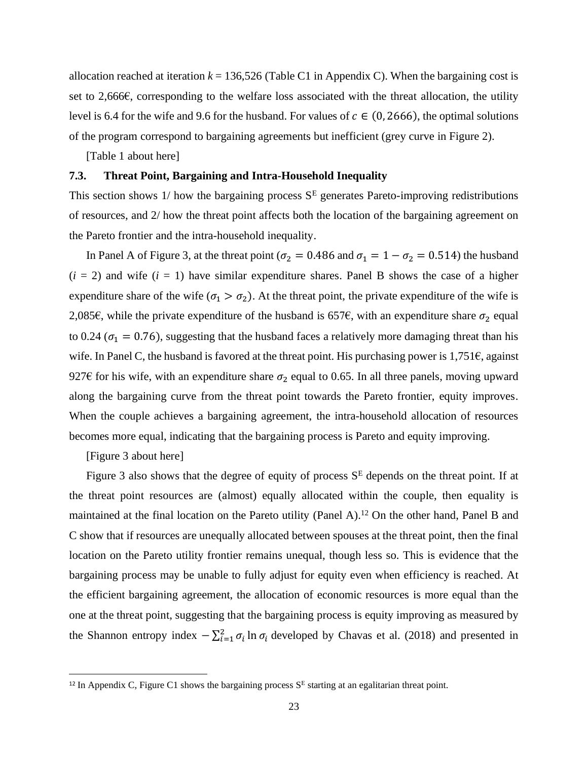allocation reached at iteration  $k = 136,526$  (Table C1 in Appendix C). When the bargaining cost is set to 2,666€, corresponding to the welfare loss associated with the threat allocation, the utility level is 6.4 for the wife and 9.6 for the husband. For values of  $c \in (0, 2666)$ , the optimal solutions of the program correspond to bargaining agreements but inefficient (grey curve in Figure 2).

[Table 1 about here]

### **7.3. Threat Point, Bargaining and Intra-Household Inequality**

This section shows 1/ how the bargaining process  $S<sup>E</sup>$  generates Pareto-improving redistributions of resources, and 2/ how the threat point affects both the location of the bargaining agreement on the Pareto frontier and the intra-household inequality.

In Panel A of Figure 3, at the threat point ( $\sigma_2 = 0.486$  and  $\sigma_1 = 1 - \sigma_2 = 0.514$ ) the husband  $(i = 2)$  and wife  $(i = 1)$  have similar expenditure shares. Panel B shows the case of a higher expenditure share of the wife  $(\sigma_1 > \sigma_2)$ . At the threat point, the private expenditure of the wife is 2,085€, while the private expenditure of the husband is 657€, with an expenditure share  $\sigma_2$  equal to 0.24 ( $\sigma_1$  = 0.76), suggesting that the husband faces a relatively more damaging threat than his wife. In Panel C, the husband is favored at the threat point. His purchasing power is  $1,751 $\epsilon$ , against$ 927€ for his wife, with an expenditure share  $\sigma_2$  equal to 0.65. In all three panels, moving upward along the bargaining curve from the threat point towards the Pareto frontier, equity improves. When the couple achieves a bargaining agreement, the intra-household allocation of resources becomes more equal, indicating that the bargaining process is Pareto and equity improving.

[Figure 3 about here]

Figure 3 also shows that the degree of equity of process  $S<sup>E</sup>$  depends on the threat point. If at the threat point resources are (almost) equally allocated within the couple, then equality is maintained at the final location on the Pareto utility (Panel A).<sup>12</sup> On the other hand, Panel B and C show that if resources are unequally allocated between spouses at the threat point, then the final location on the Pareto utility frontier remains unequal, though less so. This is evidence that the bargaining process may be unable to fully adjust for equity even when efficiency is reached. At the efficient bargaining agreement, the allocation of economic resources is more equal than the one at the threat point, suggesting that the bargaining process is equity improving as measured by the Shannon entropy index  $-\sum_{i=1}^{2} \sigma_i \ln \sigma_i$  developed by Chavas et al. (2018) and presented in

<sup>&</sup>lt;sup>12</sup> In Appendix C, Figure C1 shows the bargaining process  $S<sup>E</sup>$  starting at an egalitarian threat point.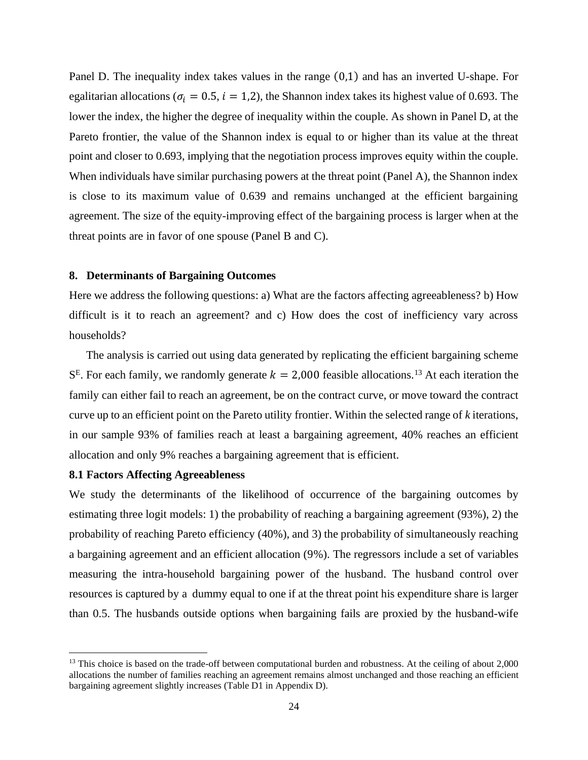Panel D. The inequality index takes values in the range (0,1) and has an inverted U-shape. For egalitarian allocations ( $\sigma_i = 0.5$ ,  $i = 1.2$ ), the Shannon index takes its highest value of 0.693. The lower the index, the higher the degree of inequality within the couple. As shown in Panel D, at the Pareto frontier, the value of the Shannon index is equal to or higher than its value at the threat point and closer to 0.693, implying that the negotiation process improves equity within the couple. When individuals have similar purchasing powers at the threat point (Panel A), the Shannon index is close to its maximum value of 0.639 and remains unchanged at the efficient bargaining agreement. The size of the equity-improving effect of the bargaining process is larger when at the threat points are in favor of one spouse (Panel B and C).

#### **8. Determinants of Bargaining Outcomes**

Here we address the following questions: a) What are the factors affecting agreeableness? b) How difficult is it to reach an agreement? and c) How does the cost of inefficiency vary across households?

The analysis is carried out using data generated by replicating the efficient bargaining scheme  $S<sup>E</sup>$ . For each family, we randomly generate  $k = 2,000$  feasible allocations.<sup>13</sup> At each iteration the family can either fail to reach an agreement, be on the contract curve, or move toward the contract curve up to an efficient point on the Pareto utility frontier. Within the selected range of *k* iterations, in our sample 93% of families reach at least a bargaining agreement, 40% reaches an efficient allocation and only 9% reaches a bargaining agreement that is efficient.

#### **8.1 Factors Affecting Agreeableness**

We study the determinants of the likelihood of occurrence of the bargaining outcomes by estimating three logit models: 1) the probability of reaching a bargaining agreement (93%), 2) the probability of reaching Pareto efficiency (40%), and 3) the probability of simultaneously reaching a bargaining agreement and an efficient allocation (9%). The regressors include a set of variables measuring the intra-household bargaining power of the husband. The husband control over resources is captured by a dummy equal to one if at the threat point his expenditure share is larger than 0.5. The husbands outside options when bargaining fails are proxied by the husband-wife

<sup>&</sup>lt;sup>13</sup> This choice is based on the trade-off between computational burden and robustness. At the ceiling of about 2,000 allocations the number of families reaching an agreement remains almost unchanged and those reaching an efficient bargaining agreement slightly increases (Table D1 in Appendix D).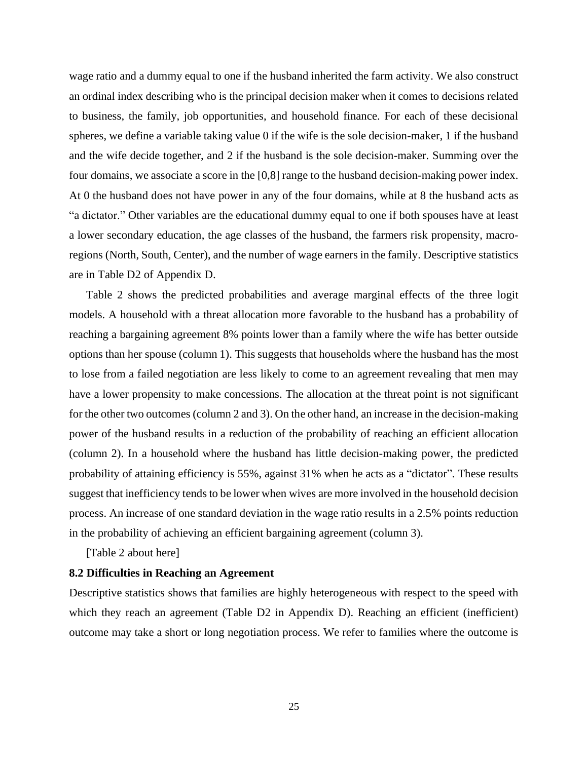wage ratio and a dummy equal to one if the husband inherited the farm activity. We also construct an ordinal index describing who is the principal decision maker when it comes to decisions related to business, the family, job opportunities, and household finance. For each of these decisional spheres, we define a variable taking value 0 if the wife is the sole decision-maker, 1 if the husband and the wife decide together, and 2 if the husband is the sole decision-maker. Summing over the four domains, we associate a score in the [0,8] range to the husband decision-making power index. At 0 the husband does not have power in any of the four domains, while at 8 the husband acts as "a dictator." Other variables are the educational dummy equal to one if both spouses have at least a lower secondary education, the age classes of the husband, the farmers risk propensity, macroregions (North, South, Center), and the number of wage earners in the family. Descriptive statistics are in Table D2 of Appendix D.

Table 2 shows the predicted probabilities and average marginal effects of the three logit models. A household with a threat allocation more favorable to the husband has a probability of reaching a bargaining agreement 8% points lower than a family where the wife has better outside options than her spouse (column 1). This suggests that households where the husband has the most to lose from a failed negotiation are less likely to come to an agreement revealing that men may have a lower propensity to make concessions. The allocation at the threat point is not significant for the other two outcomes (column 2 and 3). On the other hand, an increase in the decision-making power of the husband results in a reduction of the probability of reaching an efficient allocation (column 2). In a household where the husband has little decision-making power, the predicted probability of attaining efficiency is 55%, against 31% when he acts as a "dictator". These results suggest that inefficiency tends to be lower when wives are more involved in the household decision process. An increase of one standard deviation in the wage ratio results in a 2.5% points reduction in the probability of achieving an efficient bargaining agreement (column 3).

[Table 2 about here]

#### **8.2 Difficulties in Reaching an Agreement**

Descriptive statistics shows that families are highly heterogeneous with respect to the speed with which they reach an agreement (Table D2 in Appendix D). Reaching an efficient (inefficient) outcome may take a short or long negotiation process. We refer to families where the outcome is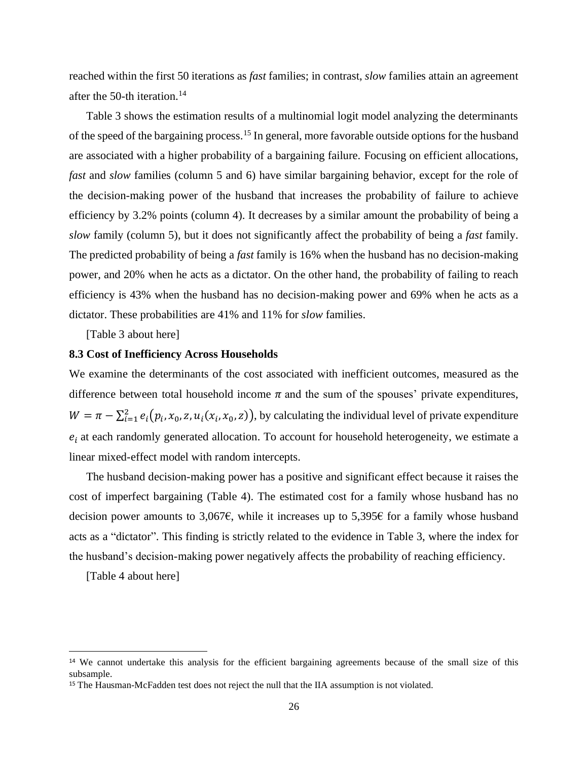reached within the first 50 iterations as *fast* families; in contrast, *slow* families attain an agreement after the 50-th iteration.<sup>14</sup>

Table 3 shows the estimation results of a multinomial logit model analyzing the determinants of the speed of the bargaining process.<sup>15</sup> In general, more favorable outside options for the husband are associated with a higher probability of a bargaining failure. Focusing on efficient allocations, *fast* and *slow* families (column 5 and 6) have similar bargaining behavior, except for the role of the decision-making power of the husband that increases the probability of failure to achieve efficiency by 3.2% points (column 4). It decreases by a similar amount the probability of being a *slow* family (column 5), but it does not significantly affect the probability of being a *fast* family. The predicted probability of being a *fast* family is 16% when the husband has no decision-making power, and 20% when he acts as a dictator. On the other hand, the probability of failing to reach efficiency is 43% when the husband has no decision-making power and 69% when he acts as a dictator. These probabilities are 41% and 11% for *slow* families.

[Table 3 about here]

#### **8.3 Cost of Inefficiency Across Households**

We examine the determinants of the cost associated with inefficient outcomes, measured as the difference between total household income  $\pi$  and the sum of the spouses' private expenditures,  $W = \pi - \sum_{i=1}^{2} e_i (p_i, x_0, z, u_i(x_i, x_0, z))$ , by calculating the individual level of private expenditure  $e_i$  at each randomly generated allocation. To account for household heterogeneity, we estimate a linear mixed-effect model with random intercepts.

The husband decision-making power has a positive and significant effect because it raises the cost of imperfect bargaining (Table 4). The estimated cost for a family whose husband has no decision power amounts to 3,067€, while it increases up to 5,395€ for a family whose husband acts as a "dictator". This finding is strictly related to the evidence in Table 3, where the index for the husband's decision-making power negatively affects the probability of reaching efficiency.

[Table 4 about here]

<sup>&</sup>lt;sup>14</sup> We cannot undertake this analysis for the efficient bargaining agreements because of the small size of this subsample.

<sup>&</sup>lt;sup>15</sup> The Hausman-McFadden test does not reject the null that the IIA assumption is not violated.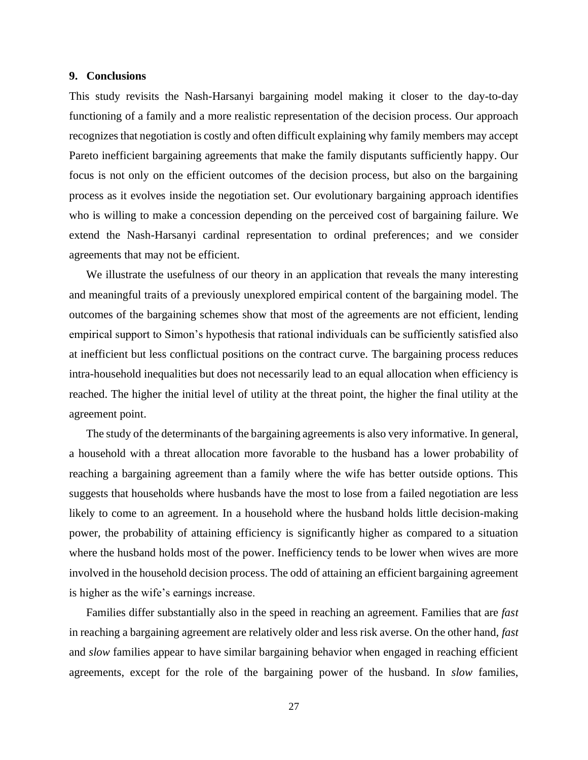#### **9. Conclusions**

This study revisits the Nash-Harsanyi bargaining model making it closer to the day-to-day functioning of a family and a more realistic representation of the decision process. Our approach recognizes that negotiation is costly and often difficult explaining why family members may accept Pareto inefficient bargaining agreements that make the family disputants sufficiently happy. Our focus is not only on the efficient outcomes of the decision process, but also on the bargaining process as it evolves inside the negotiation set. Our evolutionary bargaining approach identifies who is willing to make a concession depending on the perceived cost of bargaining failure. We extend the Nash-Harsanyi cardinal representation to ordinal preferences; and we consider agreements that may not be efficient.

We illustrate the usefulness of our theory in an application that reveals the many interesting and meaningful traits of a previously unexplored empirical content of the bargaining model. The outcomes of the bargaining schemes show that most of the agreements are not efficient, lending empirical support to Simon's hypothesis that rational individuals can be sufficiently satisfied also at inefficient but less conflictual positions on the contract curve. The bargaining process reduces intra-household inequalities but does not necessarily lead to an equal allocation when efficiency is reached. The higher the initial level of utility at the threat point, the higher the final utility at the agreement point.

The study of the determinants of the bargaining agreements is also very informative. In general, a household with a threat allocation more favorable to the husband has a lower probability of reaching a bargaining agreement than a family where the wife has better outside options. This suggests that households where husbands have the most to lose from a failed negotiation are less likely to come to an agreement. In a household where the husband holds little decision-making power, the probability of attaining efficiency is significantly higher as compared to a situation where the husband holds most of the power. Inefficiency tends to be lower when wives are more involved in the household decision process. The odd of attaining an efficient bargaining agreement is higher as the wife's earnings increase.

Families differ substantially also in the speed in reaching an agreement. Families that are *fast* in reaching a bargaining agreement are relatively older and less risk averse. On the other hand, *fast* and *slow* families appear to have similar bargaining behavior when engaged in reaching efficient agreements, except for the role of the bargaining power of the husband. In *slow* families,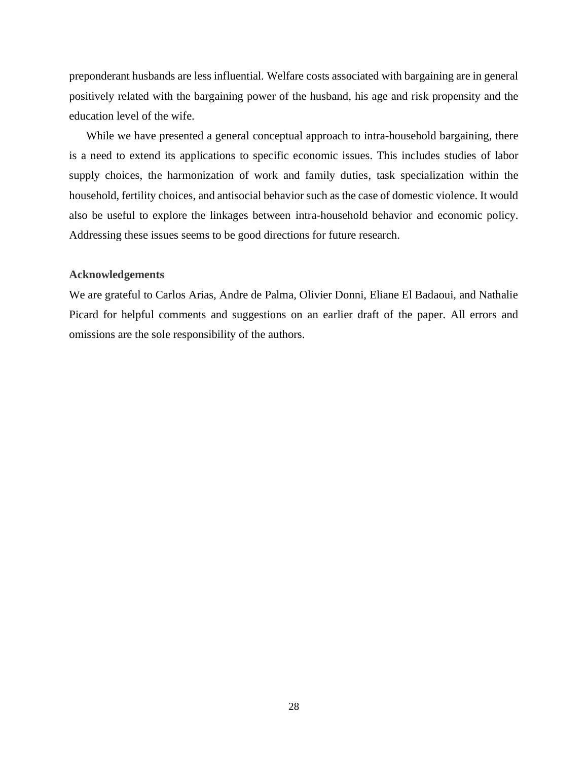preponderant husbands are less influential. Welfare costs associated with bargaining are in general positively related with the bargaining power of the husband, his age and risk propensity and the education level of the wife.

While we have presented a general conceptual approach to intra-household bargaining, there is a need to extend its applications to specific economic issues. This includes studies of labor supply choices, the harmonization of work and family duties, task specialization within the household, fertility choices, and antisocial behavior such as the case of domestic violence. It would also be useful to explore the linkages between intra-household behavior and economic policy. Addressing these issues seems to be good directions for future research.

### **Acknowledgements**

We are grateful to Carlos Arias, Andre de Palma, Olivier Donni, Eliane El Badaoui, and Nathalie Picard for helpful comments and suggestions on an earlier draft of the paper. All errors and omissions are the sole responsibility of the authors.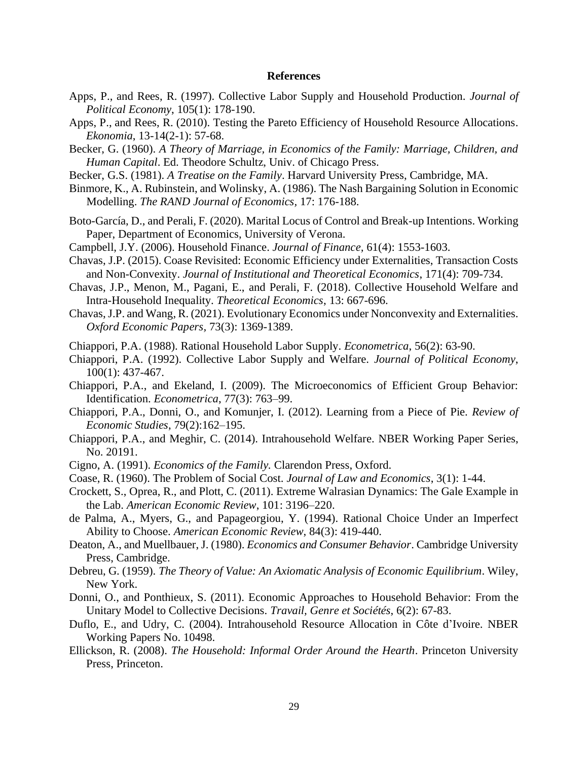#### **References**

- Apps, P., and Rees, R. (1997). Collective Labor Supply and Household Production. *Journal of Political Economy*, 105(1): 178-190.
- Apps, P., and Rees, R. (2010). [Testing the Pareto Efficiency of Household Resource Allocations.](https://ideas.repec.org/a/ekn/ekonom/v13-14y2010-2011i2-1p57-68.html) *[Ekonomia](https://ideas.repec.org/s/ekn/ekonom.html)*, 13-14(2-1): 57-68.
- Becker, G. (1960). *A Theory of Marriage, in Economics of the Family: Marriage, Children, and Human Capital*. Ed. Theodore Schultz, Univ. of Chicago Press.
- Becker, G.S. (1981). *A Treatise on the Family*. Harvard University Press, Cambridge, MA.
- Binmore, K., A. Rubinstein, and Wolinsky, A. (1986). The Nash Bargaining Solution in Economic Modelling. *The RAND Journal of Economics,* 17: 176-188.
- Boto-García, D., and Perali, F. (2020). Marital Locus of Control and Break-up Intentions. Working Paper, Department of Economics, University of Verona.
- Campbell, J.Y. (2006). Household Finance. *Journal of Finance,* 61(4): 1553-1603.
- Chavas, J.P. (2015). Coase Revisited: Economic Efficiency under Externalities, Transaction Costs and Non-Convexity. *Journal of Institutional and Theoretical Economics*, 171(4): 709-734.
- Chavas, J.P., Menon, M., Pagani, E., and Perali, F. (2018). Collective Household Welfare and Intra-Household Inequality. *Theoretical Economics*, 13: 667-696.
- Chavas, J.P. and Wang, R. (2021). Evolutionary Economics under Nonconvexity and Externalities. *Oxford Economic Papers,* 73(3): 1369-1389.
- Chiappori, P.A. (1988). Rational Household Labor Supply. *Econometrica*, 56(2): 63-90.
- Chiappori, P.A. (1992). Collective Labor Supply and Welfare. *Journal of Political Economy*, 100(1): 437-467.
- Chiappori, P.A., and Ekeland, I. (2009). The Microeconomics of Efficient Group Behavior: Identification. *Econometrica*, 77(3): 763–99.
- Chiappori, P.A., Donni, O., and Komunjer, I. (2012). Learning from a Piece of Pie. *Review of Economic Studies*, 79(2):162–195.
- Chiappori, P.A., and Meghir, C. (2014). Intrahousehold Welfare. NBER Working Paper Series, No. 20191.
- Cigno, A. (1991). *Economics of the Family.* Clarendon Press, Oxford.
- Coase, R. (1960). The Problem of Social Cost. *Journal of Law and Economics*, 3(1): 1-44.
- Crockett, S., Oprea, R., and Plott, C. (2011). Extreme Walrasian Dynamics: The Gale Example in the Lab. *American Economic Review*, 101: 3196–220.
- de Palma, A., Myers, G., and Papageorgiou, Y. (1994). Rational Choice Under an Imperfect Ability to Choose. *American Economic Review*, 84(3): 419-440.
- Deaton, A., and Muellbauer, J. (1980). *Economics and Consumer Behavior*. Cambridge University Press, Cambridge.
- Debreu, G. (1959). *The Theory of Value: An Axiomatic Analysis of Economic Equilibrium*. Wiley, New York.
- Donni, O., and Ponthieux, S. (2011). Economic Approaches to Household Behavior: From the Unitary Model to Collective Decisions. *Travail, Genre et Sociétés*, 6(2): 67-83.
- Duflo, E., and Udry, C. (2004). Intrahousehold Resource Allocation in Côte d'Ivoire. NBER Working Papers No. 10498.
- Ellickson, R. (2008). *The Household: Informal Order Around the Hearth*. Princeton University Press, Princeton.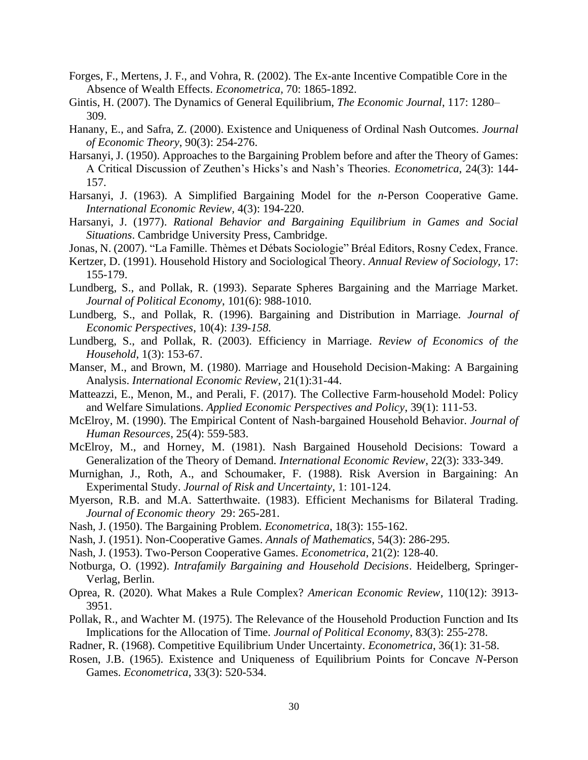- Forges, F., Mertens, J. F., and Vohra, R. (2002). The Ex-ante Incentive Compatible Core in the Absence of Wealth Effects. *Econometrica,* 70: 1865-1892.
- Gintis, H. (2007). The Dynamics of General Equilibrium, *The Economic Journal*, 117: 1280– 309.
- Hanany, E., and Safra, Z. (2000). Existence and Uniqueness of Ordinal Nash Outcomes. *Journal of Economic Theory*, 90(3): 254-276.
- Harsanyi, J. (1950). Approaches to the Bargaining Problem before and after the Theory of Games: A Critical Discussion of Zeuthen's Hicks's and Nash's Theories. *Econometrica*, 24(3): 144- 157.
- Harsanyi, J. (1963). A Simplified Bargaining Model for the *n*-Person Cooperative Game. *International Economic Review,* 4(3): 194-220.
- Harsanyi, J. (1977). *Rational Behavior and Bargaining Equilibrium in Games and Social Situations*. Cambridge University Press, Cambridge.
- Jonas, N. (2007). "La Famille. Thèmes et Débats Sociologie" Bréal Editors, Rosny Cedex, France.
- Kertzer, D. (1991). Household History and Sociological Theory. *Annual Review of Sociology,* 17: 155-179.
- Lundberg, S., and Pollak, R. (1993). Separate Spheres Bargaining and the Marriage Market. *Journal of Political Economy*, 101(6): 988-1010.
- Lundberg, S., and Pollak, R. (1996). Bargaining and Distribution in Marriage. *Journal of Economic Perspectives*, 10(4): *139-158.*
- Lundberg, S., and Pollak, R. (2003). Efficiency in Marriage. *Review of Economics of the Household*, 1(3): 153-67.
- Manser, M., and Brown, M. (1980). Marriage and Household Decision-Making: A Bargaining Analysis. *International Economic Review*, 21(1):31-44.
- Matteazzi, E., Menon, M., and Perali, F. (2017). The Collective Farm-household Model: Policy and Welfare Simulations. *Applied Economic Perspectives and Policy*, 39(1): 111-53.
- McElroy, M. (1990). The Empirical Content of Nash-bargained Household Behavior. *Journal of Human Resources*, 25(4): 559-583.
- McElroy, M., and Horney, M. (1981). Nash Bargained Household Decisions: Toward a Generalization of the Theory of Demand. *International Economic Review*, 22(3): 333-349.
- Murnighan, J., Roth, A., and Schoumaker, F. (1988). Risk Aversion in Bargaining: An Experimental Study. *Journal of Risk and Uncertainty*, 1: 101-124.
- Myerson, R.B. and M.A. Satterthwaite. (1983). Efficient Mechanisms for Bilateral Trading. *Journal of Economic theory* 29: 265-281.
- Nash, J. (1950). The Bargaining Problem. *Econometrica*, 18(3): 155-162.
- Nash, J. (1951). Non-Cooperative Games. *Annals of Mathematics*, 54(3): 286-295.
- Nash, J. (1953). Two-Person Cooperative Games. *Econometrica*, 21(2): 128-40.
- Notburga, O. (1992). *Intrafamily Bargaining and Household Decisions*. Heidelberg, Springer-Verlag, Berlin.
- Oprea, R. (2020). What Makes a Rule Complex? *American Economic Review,* 110(12): 3913- 3951.
- Pollak, R., and Wachter M. (1975). The Relevance of the Household Production Function and Its Implications for the Allocation of Time. *Journal of Political Economy*, 83(3): 255-278.
- Radner, R. (1968). Competitive Equilibrium Under Uncertainty. *Econometrica*, 36(1): 31-58.
- Rosen, J.B. (1965). Existence and Uniqueness of Equilibrium Points for Concave *N*-Person Games. *Econometrica*, 33(3): 520-534.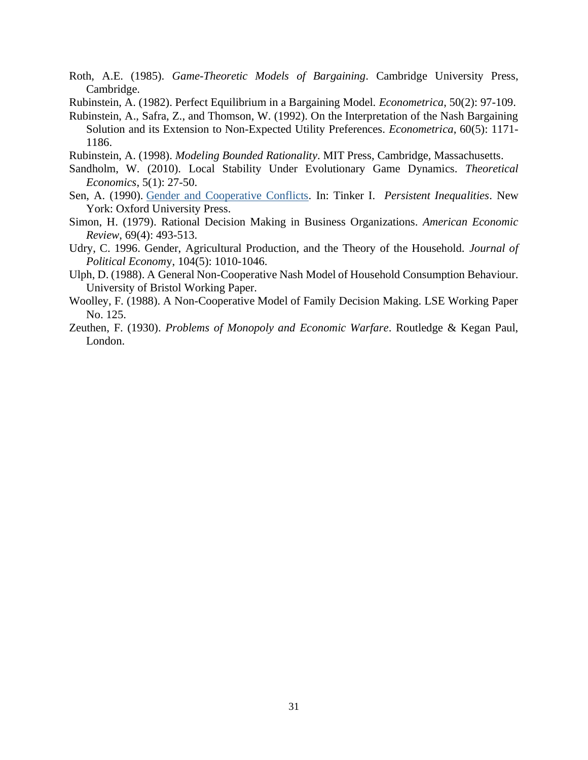- Roth, A.E. (1985). *Game-Theoretic Models of Bargaining*. Cambridge University Press, Cambridge.
- Rubinstein, A. (1982). Perfect Equilibrium in a Bargaining Model. *Econometrica*, 50(2): 97-109.
- Rubinstein, A., Safra, Z., and Thomson, W. (1992). On the Interpretation of the Nash Bargaining Solution and its Extension to Non-Expected Utility Preferences. *Econometrica*, 60(5): 1171- 1186.
- Rubinstein, A. (1998). *Modeling Bounded Rationality*. MIT Press, Cambridge, Massachusetts.
- Sandholm, W. (2010). Local Stability Under Evolutionary Game Dynamics. *Theoretical Economics*, 5(1): 27-50.
- Sen, A. (1990). [Gender and Cooperative Conflicts.](https://scholar.harvard.edu/sen/publications/gender-and-cooperative-conflicts) In: Tinker I. *Persistent Inequalities*. New York: Oxford University Press.
- Simon, H. (1979). Rational Decision Making in Business Organizations. *American Economic Review*, 69(4): 493-513.
- Udry, C. 1996. Gender, Agricultural Production, and the Theory of the Household. *Journal of Political Econom*y, 104(5): 1010-1046.
- Ulph, D. (1988). A General Non-Cooperative Nash Model of Household Consumption Behaviour. University of Bristol Working Paper.
- Woolley, F. (1988). A Non-Cooperative Model of Family Decision Making. LSE Working Paper No. 125.
- Zeuthen, F. (1930). *Problems of Monopoly and Economic Warfare*. Routledge & Kegan Paul, London.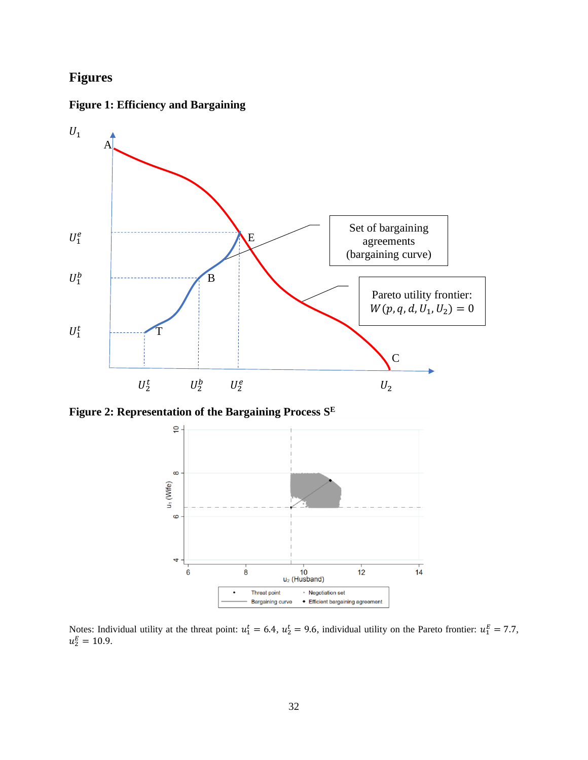## **Figures**





**Figure 2: Representation of the Bargaining Process S E**



Notes: Individual utility at the threat point:  $u_1^t = 6.4$ ,  $u_2^t = 9.6$ , individual utility on the Pareto frontier:  $u_1^E = 7.7$ ,  $u_2^E = 10.9.$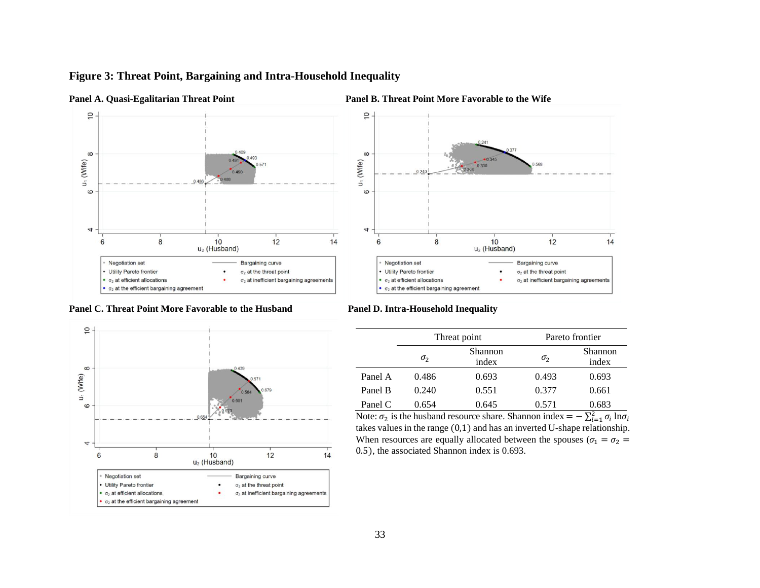## **Figure 3: Threat Point, Bargaining and Intra-Household Inequality**













|         |              | Threat point     | Pareto frontier |                  |  |  |
|---------|--------------|------------------|-----------------|------------------|--|--|
|         | $\sigma_{2}$ | Shannon<br>index | $\sigma_{2}$    | Shannon<br>index |  |  |
| Panel A | 0.486        | 0.693            | 0.493           | 0.693            |  |  |
| Panel B | 0.240        | 0.551            | 0.377           | 0.661            |  |  |
| Panel C | 0.654        | 0.645            | 0.571           | 0.683            |  |  |

 $14$ 

Note:  $\sigma_2$  is the husband resource share. Shannon index =  $-\sum_{i=1}^{2} \sigma_i \ln \sigma_i$ takes values in the range (0,1) and has an inverted U-shape relationship. When resources are equally allocated between the spouses ( $\sigma_1 = \sigma_2$  = 0.5), the associated Shannon index is 0.693.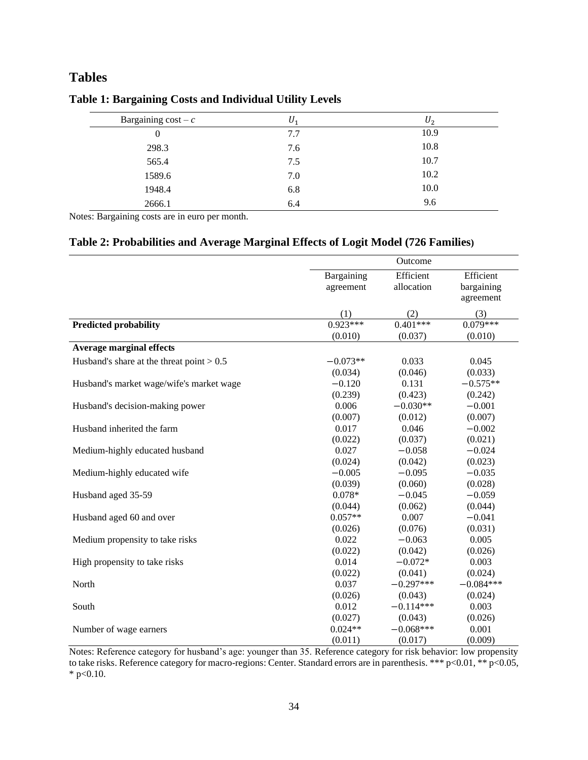## **Tables**

| U,  | $U_2$ |
|-----|-------|
| 7.7 | 10.9  |
| 7.6 | 10.8  |
| 7.5 | 10.7  |
| 7.0 | 10.2  |
| 6.8 | 10.0  |
| 6.4 | 9.6   |
|     |       |

## **Table 1: Bargaining Costs and Individual Utility Levels**

Notes: Bargaining costs are in euro per month.

## **Table 2: Probabilities and Average Marginal Effects of Logit Model (726 Families)**

|                                             |            | Outcome     |             |
|---------------------------------------------|------------|-------------|-------------|
|                                             | Bargaining | Efficient   | Efficient   |
|                                             | agreement  | allocation  | bargaining  |
|                                             |            |             | agreement   |
|                                             | (1)        | (2)         | (3)         |
| <b>Predicted probability</b>                | $0.923***$ | $0.401***$  | $0.079***$  |
|                                             | (0.010)    | (0.037)     | (0.010)     |
| <b>Average marginal effects</b>             |            |             |             |
| Husband's share at the threat point $> 0.5$ | $-0.073**$ | 0.033       | 0.045       |
|                                             | (0.034)    | (0.046)     | (0.033)     |
| Husband's market wage/wife's market wage    | $-0.120$   | 0.131       | $-0.575**$  |
|                                             | (0.239)    | (0.423)     | (0.242)     |
| Husband's decision-making power             | 0.006      | $-0.030**$  | $-0.001$    |
|                                             | (0.007)    | (0.012)     | (0.007)     |
| Husband inherited the farm                  | 0.017      | 0.046       | $-0.002$    |
|                                             | (0.022)    | (0.037)     | (0.021)     |
| Medium-highly educated husband              | 0.027      | $-0.058$    | $-0.024$    |
|                                             | (0.024)    | (0.042)     | (0.023)     |
| Medium-highly educated wife                 | $-0.005$   | $-0.095$    | $-0.035$    |
|                                             | (0.039)    | (0.060)     | (0.028)     |
| Husband aged 35-59                          | $0.078*$   | $-0.045$    | $-0.059$    |
|                                             | (0.044)    | (0.062)     | (0.044)     |
| Husband aged 60 and over                    | $0.057**$  | 0.007       | $-0.041$    |
|                                             | (0.026)    | (0.076)     | (0.031)     |
| Medium propensity to take risks             | 0.022      | $-0.063$    | 0.005       |
|                                             | (0.022)    | (0.042)     | (0.026)     |
| High propensity to take risks               | 0.014      | $-0.072*$   | 0.003       |
|                                             | (0.022)    | (0.041)     | (0.024)     |
| North                                       | 0.037      | $-0.297***$ | $-0.084***$ |
|                                             | (0.026)    | (0.043)     | (0.024)     |
| South                                       | 0.012      | $-0.114***$ | 0.003       |
|                                             | (0.027)    | (0.043)     | (0.026)     |
| Number of wage earners                      | $0.024**$  | $-0.068***$ | 0.001       |
|                                             | (0.011)    | (0.017)     | (0.009)     |

Notes: Reference category for husband's age: younger than 35. Reference category for risk behavior: low propensity to take risks. Reference category for macro-regions: Center. Standard errors are in parenthesis. \*\*\* p<0.01, \*\* p<0.05,  $*$  p<0.10.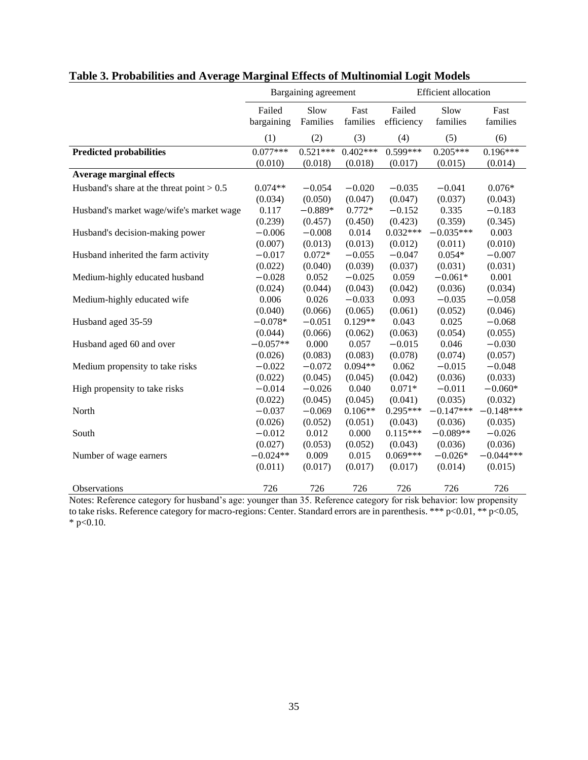| Failed<br>Slow<br>Fast<br>Failed<br>Slow<br>Fast<br>bargaining<br>Families<br>families<br>efficiency<br>families<br>families<br>(2)<br>(3)<br>(1)<br>(4)<br>(5)<br>(6)<br><b>Predicted probabilities</b><br>$0.077***$<br>$0.521***$<br>$0.402***$<br>$0.599***$<br>$0.205***$<br>$0.196***$<br>(0.017)<br>(0.010)<br>(0.018)<br>(0.018)<br>(0.015)<br>(0.014)<br><b>Average marginal effects</b><br>Husband's share at the threat point $> 0.5$<br>$0.074**$<br>$-0.054$<br>$-0.035$<br>$-0.041$<br>$0.076*$<br>$-0.020$<br>(0.047)<br>(0.047)<br>(0.037)<br>(0.034)<br>(0.050)<br>(0.043) |  |
|---------------------------------------------------------------------------------------------------------------------------------------------------------------------------------------------------------------------------------------------------------------------------------------------------------------------------------------------------------------------------------------------------------------------------------------------------------------------------------------------------------------------------------------------------------------------------------------------|--|
|                                                                                                                                                                                                                                                                                                                                                                                                                                                                                                                                                                                             |  |
|                                                                                                                                                                                                                                                                                                                                                                                                                                                                                                                                                                                             |  |
|                                                                                                                                                                                                                                                                                                                                                                                                                                                                                                                                                                                             |  |
|                                                                                                                                                                                                                                                                                                                                                                                                                                                                                                                                                                                             |  |
|                                                                                                                                                                                                                                                                                                                                                                                                                                                                                                                                                                                             |  |
|                                                                                                                                                                                                                                                                                                                                                                                                                                                                                                                                                                                             |  |
|                                                                                                                                                                                                                                                                                                                                                                                                                                                                                                                                                                                             |  |
| 0.335<br>0.117<br>$-0.889*$<br>$0.772*$<br>$-0.152$<br>$-0.183$<br>Husband's market wage/wife's market wage                                                                                                                                                                                                                                                                                                                                                                                                                                                                                 |  |
| (0.239)<br>(0.345)<br>(0.457)<br>(0.450)<br>(0.423)<br>(0.359)                                                                                                                                                                                                                                                                                                                                                                                                                                                                                                                              |  |
| $-0.035***$<br>$-0.006$<br>$-0.008$<br>0.014<br>$0.032***$<br>0.003<br>Husband's decision-making power                                                                                                                                                                                                                                                                                                                                                                                                                                                                                      |  |
| (0.007)<br>(0.013)<br>(0.013)<br>(0.012)<br>(0.011)<br>(0.010)                                                                                                                                                                                                                                                                                                                                                                                                                                                                                                                              |  |
| $0.072*$<br>$-0.055$<br>$-0.047$<br>$0.054*$<br>$-0.007$<br>Husband inherited the farm activity<br>$-0.017$                                                                                                                                                                                                                                                                                                                                                                                                                                                                                 |  |
| (0.022)<br>(0.040)<br>(0.039)<br>(0.037)<br>(0.031)<br>(0.031)                                                                                                                                                                                                                                                                                                                                                                                                                                                                                                                              |  |
| 0.052<br>$-0.025$<br>0.059<br>$-0.061*$<br>0.001<br>Medium-highly educated husband<br>$-0.028$                                                                                                                                                                                                                                                                                                                                                                                                                                                                                              |  |
| (0.024)<br>(0.043)<br>(0.042)<br>(0.036)<br>(0.034)<br>(0.044)                                                                                                                                                                                                                                                                                                                                                                                                                                                                                                                              |  |
| 0.006<br>0.026<br>$-0.033$<br>0.093<br>$-0.035$<br>$-0.058$<br>Medium-highly educated wife                                                                                                                                                                                                                                                                                                                                                                                                                                                                                                  |  |
| (0.066)<br>(0.065)<br>(0.061)<br>(0.046)<br>(0.040)<br>(0.052)                                                                                                                                                                                                                                                                                                                                                                                                                                                                                                                              |  |
| 0.025<br>Husband aged 35-59<br>$-0.078*$<br>$-0.051$<br>$0.129**$<br>0.043<br>$-0.068$                                                                                                                                                                                                                                                                                                                                                                                                                                                                                                      |  |
| (0.044)<br>(0.066)<br>(0.063)<br>(0.054)<br>(0.055)<br>(0.062)                                                                                                                                                                                                                                                                                                                                                                                                                                                                                                                              |  |
| 0.046<br>$-0.057**$<br>0.000<br>0.057<br>$-0.015$<br>$-0.030$<br>Husband aged 60 and over                                                                                                                                                                                                                                                                                                                                                                                                                                                                                                   |  |
| (0.083)<br>(0.083)<br>(0.078)<br>(0.074)<br>(0.057)<br>(0.026)                                                                                                                                                                                                                                                                                                                                                                                                                                                                                                                              |  |
| $-0.022$<br>$-0.072$<br>$0.094**$<br>0.062<br>$-0.015$<br>$-0.048$<br>Medium propensity to take risks                                                                                                                                                                                                                                                                                                                                                                                                                                                                                       |  |
| (0.045)<br>(0.042)<br>(0.036)<br>(0.033)<br>(0.022)<br>(0.045)                                                                                                                                                                                                                                                                                                                                                                                                                                                                                                                              |  |
| $-0.014$<br>$-0.026$<br>0.040<br>$0.071*$<br>$-0.011$<br>$-0.060*$<br>High propensity to take risks                                                                                                                                                                                                                                                                                                                                                                                                                                                                                         |  |
| (0.045)<br>(0.041)<br>(0.035)<br>(0.032)<br>(0.022)<br>(0.045)                                                                                                                                                                                                                                                                                                                                                                                                                                                                                                                              |  |
| $-0.037$<br>$-0.069$<br>$0.106**$<br>$0.295***$<br>$-0.147***$<br>$-0.148***$<br>North                                                                                                                                                                                                                                                                                                                                                                                                                                                                                                      |  |
| (0.026)<br>(0.052)<br>(0.051)<br>(0.043)<br>(0.036)<br>(0.035)                                                                                                                                                                                                                                                                                                                                                                                                                                                                                                                              |  |
| 0.012<br>0.000<br>$0.115***$<br>$-0.089**$<br>$-0.026$<br>South<br>$-0.012$                                                                                                                                                                                                                                                                                                                                                                                                                                                                                                                 |  |
| (0.027)<br>(0.053)<br>(0.052)<br>(0.043)<br>(0.036)<br>(0.036)                                                                                                                                                                                                                                                                                                                                                                                                                                                                                                                              |  |
| $-0.024**$<br>0.009<br>0.015<br>$0.069***$<br>$-0.026*$<br>$-0.044***$<br>Number of wage earners                                                                                                                                                                                                                                                                                                                                                                                                                                                                                            |  |
| (0.011)<br>(0.017)<br>(0.017)<br>(0.017)<br>(0.014)<br>(0.015)                                                                                                                                                                                                                                                                                                                                                                                                                                                                                                                              |  |
| 726<br>726<br>726<br>726<br>726<br>726<br>Observations                                                                                                                                                                                                                                                                                                                                                                                                                                                                                                                                      |  |

|  |  |  | Table 3. Probabilities and Average Marginal Effects of Multinomial Logit Models |
|--|--|--|---------------------------------------------------------------------------------|
|  |  |  |                                                                                 |

Notes: Reference category for husband's age: younger than 35. Reference category for risk behavior: low propensity to take risks. Reference category for macro-regions: Center. Standard errors are in parenthesis. \*\*\* p<0.01, \*\* p<0.05,  $*$  p<0.10.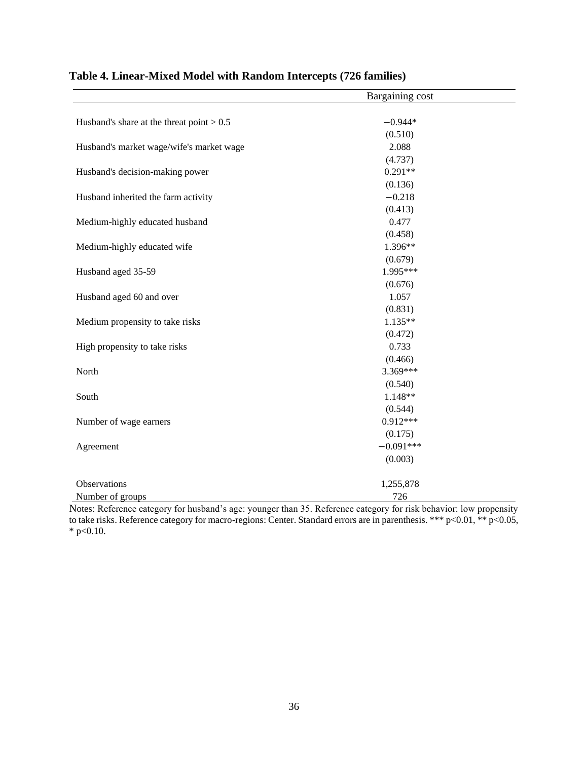|                                             | Bargaining cost |  |
|---------------------------------------------|-----------------|--|
|                                             |                 |  |
| Husband's share at the threat point $> 0.5$ | $-0.944*$       |  |
|                                             | (0.510)         |  |
| Husband's market wage/wife's market wage    | 2.088           |  |
|                                             | (4.737)         |  |
| Husband's decision-making power             | $0.291**$       |  |
|                                             | (0.136)         |  |
| Husband inherited the farm activity         | $-0.218$        |  |
|                                             | (0.413)         |  |
| Medium-highly educated husband              | 0.477           |  |
|                                             | (0.458)         |  |
| Medium-highly educated wife                 | 1.396**         |  |
|                                             | (0.679)         |  |
| Husband aged 35-59                          | 1.995***        |  |
|                                             | (0.676)         |  |
| Husband aged 60 and over                    | 1.057           |  |
|                                             | (0.831)         |  |
| Medium propensity to take risks             | $1.135**$       |  |
|                                             | (0.472)         |  |
| High propensity to take risks               | 0.733           |  |
|                                             | (0.466)         |  |
| North                                       | 3.369***        |  |
|                                             | (0.540)         |  |
| South                                       | 1.148**         |  |
|                                             | (0.544)         |  |
| Number of wage earners                      | $0.912***$      |  |
|                                             | (0.175)         |  |
| Agreement                                   | $-0.091***$     |  |
|                                             | (0.003)         |  |
| Observations                                | 1,255,878       |  |
| Number of groups                            | 726             |  |

## **Table 4. Linear-Mixed Model with Random Intercepts (726 families)**

Notes: Reference category for husband's age: younger than 35. Reference category for risk behavior: low propensity to take risks. Reference category for macro-regions: Center. Standard errors are in parenthesis. \*\*\* p<0.01, \*\* p<0.05,  $*$  p<0.10.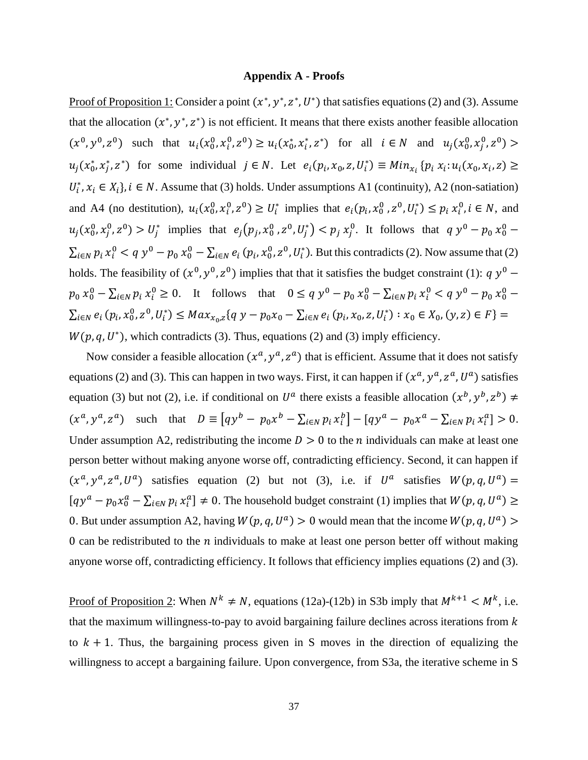#### **Appendix A - Proofs**

Proof of Proposition 1: Consider a point  $(x^*, y^*, z^*, U^*)$  that satisfies equations (2) and (3). Assume that the allocation  $(x^*, y^*, z^*)$  is not efficient. It means that there exists another feasible allocation  $(x^0, y^0, z^0)$  such that  $u_i(x_0^0, x_i^0, z^0) \ge u_i(x_0^*, x_i^*, z^*)$  for all  $i \in N$  and  $u_j(x_0^0, x_j^0, z^0)$  $u_j(x_0^*, x_j^*, z^*)$  for some individual  $j \in N$ . Let  $e_i(p_i, x_0, z, U_i^*) \equiv Min_{x_i} \{p_i x_i : u_i(x_0, x_i, z) \geq$  $U_i^*, x_i \in X_i$ ,  $i \in N$ . Assume that (3) holds. Under assumptions A1 (continuity), A2 (non-satiation) and A4 (no destitution),  $u_i(x_0^0, x_i^0, z^0) \ge U_i^*$  implies that  $e_i(p_i, x_0^0, z^0, U_i^*) \le p_i(x_i^0, i \in N$ , and  $u_j(x_0^0, x_j^0, z^0) > U_j^*$  implies that  $e_j(p_j, x_0^0, z^0, U_j^*) < p_j x_j^0$ . It follows that  $q y^0 - p_0 x_0^0 \sum_{i\in\mathbb{N}}p_i x_i^0 < q y^0 - p_0 x_0^0 - \sum_{i\in\mathbb{N}}e_i (p_i,x_0^0,z^0,U_i^*)$ . But this contradicts (2). Now assume that (2) holds. The feasibility of  $(x^0, y^0, z^0)$  implies that that it satisfies the budget constraint (1):  $q y^0$  –  $p_0 x_0^0 - \sum_{i \in N} p_i x_i^0 \ge 0$ . It follows that  $0 \le q y^0 - p_0 x_0^0 - \sum_{i \in N} p_i x_i^0 < q y^0 - p_0 x_0^0$  $\sum_{i\in\mathbb{N}}e_i(p_i,x_0^0,z^0,U_i^*)\leq Max_{x_0,z}\{q\ y-p_0x_0-\sum_{i\in\mathbb{N}}e_i(p_i,x_0,z,U_i^*) : x_0\in X_0, (y,z)\in F\}=$  $W(p, q, U^*)$ , which contradicts (3). Thus, equations (2) and (3) imply efficiency.

Now consider a feasible allocation  $(x^a, y^a, z^a)$  that is efficient. Assume that it does not satisfy equations (2) and (3). This can happen in two ways. First, it can happen if  $(x^a, y^a, z^a, U^a)$  satisfies equation (3) but not (2), i.e. if conditional on  $U^a$  there exists a feasible allocation  $(x^b, y^b, z^b) \neq$  $(x^a, y^a, z^a)$  such that  $D = [q y^b - p_0 x^b - \sum_{i \in N} p_i x_i^b] - [q y^a - p_0 x^a - \sum_{i \in N} p_i x_i^a] > 0.$ Under assumption A2, redistributing the income  $D > 0$  to the *n* individuals can make at least one person better without making anyone worse off, contradicting efficiency. Second, it can happen if  $(x^a, y^a, z^a, U^a)$  satisfies equation (2) but not (3), i.e. if  $U^a$  satisfies  $W(p, q, U^a)$  =  $[qy^a - p_0x_0^a - \sum_{i \in N} p_i x_i^a] \neq 0$ . The household budget constraint (1) implies that  $W(p,q,U^a) \ge$ 0. But under assumption A2, having  $W(p, q, U^a) > 0$  would mean that the income  $W(p, q, U^a)$ 0 can be redistributed to the  $n$  individuals to make at least one person better off without making anyone worse off, contradicting efficiency. It follows that efficiency implies equations (2) and (3).

Proof of Proposition 2: When  $N^k \neq N$ , equations (12a)-(12b) in S3b imply that  $M^{k+1} < M^k$ , i.e. that the maximum willingness-to-pay to avoid bargaining failure declines across iterations from  $k$ to  $k + 1$ . Thus, the bargaining process given in S moves in the direction of equalizing the willingness to accept a bargaining failure. Upon convergence, from S3a, the iterative scheme in S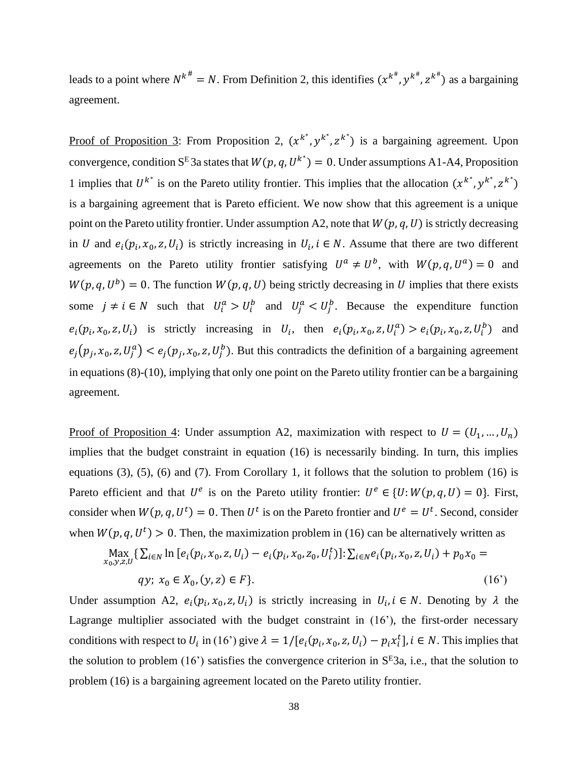leads to a point where  $N^{k^{\#}} = N$ . From Definition 2, this identifies  $(x^{k^{\#}}, y^{k^{\#}}, z^{k^{\#}})$  as a bargaining agreement.

Proof of Proposition 3: From Proposition 2,  $(x^{k^*}, y^{k^*}, z^{k^*})$  is a bargaining agreement. Upon convergence, condition S<sup>E</sup> 3a states that  $W(p,q,U^{k^*})=0$ . Under assumptions A1-A4, Proposition 1 implies that  $U^{k^*}$  is on the Pareto utility frontier. This implies that the allocation  $(x^{k^*}, y^{k^*}, z^{k^*})$ is a bargaining agreement that is Pareto efficient. We now show that this agreement is a unique point on the Pareto utility frontier. Under assumption A2, note that  $W(p, q, U)$  is strictly decreasing in U and  $e_i(p_i, x_0, z, U_i)$  is strictly increasing in  $U_i$ ,  $i \in N$ . Assume that there are two different agreements on the Pareto utility frontier satisfying  $U^a \neq U^b$ , with  $W(p,q,U^a) = 0$  and  $W(p, q, U^b) = 0$ . The function  $W(p, q, U)$  being strictly decreasing in U implies that there exists some  $j \neq i \in N$  such that  $U_i^a > U_i^b$  and  $U_j^a < U_j^b$ . Because the expenditure function  $e_i(p_i, x_0, z, U_i)$  is strictly increasing in  $U_i$ , then  $e_i(p_i, x_0, z, U_i^a) > e_i(p_i, x_0, z, U_i^b)$  and  $e_j(p_j, x_0, z, U_j^a) < e_j(p_j, x_0, z, U_j^b)$ . But this contradicts the definition of a bargaining agreement in equations (8)-(10), implying that only one point on the Pareto utility frontier can be a bargaining agreement.

Proof of Proposition 4: Under assumption A2, maximization with respect to  $U = (U_1, ..., U_n)$ implies that the budget constraint in equation (16) is necessarily binding. In turn, this implies equations (3), (5), (6) and (7). From Corollary 1, it follows that the solution to problem (16) is Pareto efficient and that  $U^e$  is on the Pareto utility frontier:  $U^e \in \{U: W(p,q,U) = 0\}$ . First, consider when  $W(p, q, U^t) = 0$ . Then  $U^t$  is on the Pareto frontier and  $U^e = U^t$ . Second, consider when  $W(p, q, U^t) > 0$ . Then, the maximization problem in (16) can be alternatively written as

$$
\max_{x_0, y, z, U} \{ \sum_{i \in N} \ln \left[ e_i(p_i, x_0, z, U_i) - e_i(p_i, x_0, z_0, U_i^t) \right] : \sum_{i \in N} e_i(p_i, x_0, z, U_i) + p_0 x_0 =
$$
  
qy;  $x_0 \in X_0, (y, z) \in F \}.$  (16')

Under assumption A2,  $e_i(p_i, x_0, z, U_i)$  is strictly increasing in  $U_i, i \in N$ . Denoting by  $\lambda$  the Lagrange multiplier associated with the budget constraint in (16'), the first-order necessary conditions with respect to  $U_i$  in (16<sup>o</sup>) give  $\lambda = 1/[e_i(p_i, x_0, z, U_i) - p_i x_i^t]$ ,  $i \in N$ . This implies that the solution to problem (16') satisfies the convergence criterion in  $S<sup>E</sup>3a$ , i.e., that the solution to problem (16) is a bargaining agreement located on the Pareto utility frontier.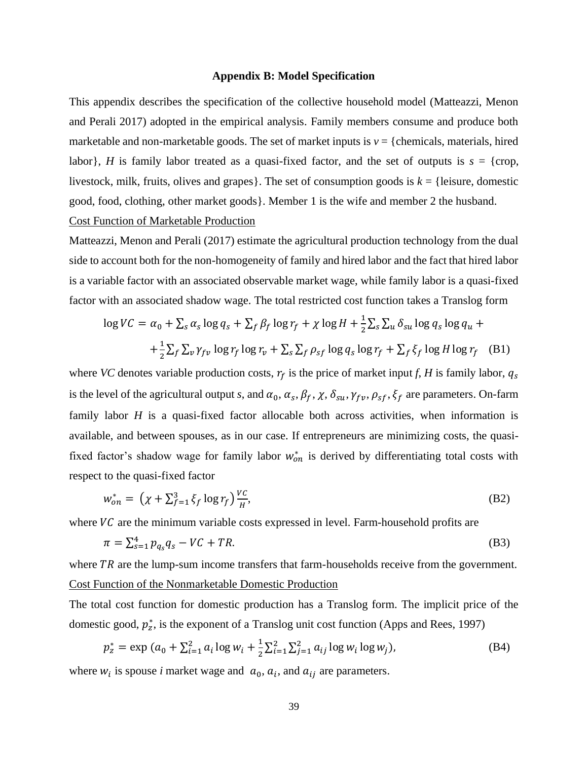#### **Appendix B: Model Specification**

This appendix describes the specification of the collective household model (Matteazzi, Menon and Perali 2017) adopted in the empirical analysis. Family members consume and produce both marketable and non-marketable goods. The set of market inputs is  $v = \{$  chemicals, materials, hired labor}, *H* is family labor treated as a quasi-fixed factor, and the set of outputs is  $s = \{ \text{crop}, \text{ } \}$ livestock, milk, fruits, olives and grapes}. The set of consumption goods is  $k = \{$ leisure, domestic good, food, clothing, other market goods}. Member 1 is the wife and member 2 the husband. Cost Function of Marketable Production

Matteazzi, Menon and Perali (2017) estimate the agricultural production technology from the dual side to account both for the non-homogeneity of family and hired labor and the fact that hired labor is a variable factor with an associated observable market wage, while family labor is a quasi-fixed factor with an associated shadow wage. The total restricted cost function takes a Translog form

$$
\log VC = \alpha_0 + \sum_{s} \alpha_s \log q_s + \sum_{f} \beta_f \log r_f + \chi \log H + \frac{1}{2} \sum_{s} \sum_{u} \delta_{su} \log q_s \log q_u +
$$
  
+ 
$$
\frac{1}{2} \sum_{f} \sum_{v} \gamma_{fv} \log r_f \log r_v + \sum_{s} \sum_{f} \rho_{sf} \log q_s \log r_f + \sum_{f} \xi_f \log H \log r_f \quad (B1)
$$

where *VC* denotes variable production costs,  $r_f$  is the price of market input *f*, *H* is family labor,  $q_s$ is the level of the agricultural output *s*, and  $\alpha_0$ ,  $\alpha_s$ ,  $\beta_f$ ,  $\chi$ ,  $\delta_{su}$ ,  $\gamma_{fv}$ ,  $\rho_{sf}$ ,  $\xi_f$  are parameters. On-farm family labor *H* is a quasi-fixed factor allocable both across activities, when information is available, and between spouses, as in our case. If entrepreneurs are minimizing costs, the quasifixed factor's shadow wage for family labor  $w_{on}^*$  is derived by differentiating total costs with respect to the quasi-fixed factor

$$
w_{on}^* = \left(\chi + \sum_{f=1}^3 \xi_f \log r_f\right) \frac{VC}{H},\tag{B2}
$$

where  $VC$  are the minimum variable costs expressed in level. Farm-household profits are

$$
\pi = \sum_{s=1}^{4} p_{q_s} q_s - VC + TR. \tag{B3}
$$

where  $TR$  are the lump-sum income transfers that farm-households receive from the government. Cost Function of the Nonmarketable Domestic Production

The total cost function for domestic production has a Translog form. The implicit price of the domestic good,  $p_z^*$ , is the exponent of a Translog unit cost function (Apps and Rees, 1997)

$$
p_z^* = \exp (a_0 + \sum_{i=1}^2 a_i \log w_i + \frac{1}{2} \sum_{i=1}^2 \sum_{j=1}^2 a_{ij} \log w_i \log w_j),
$$
 (B4)

where  $w_i$  is spouse *i* market wage and  $a_0$ ,  $a_i$ , and  $a_{ij}$  are parameters.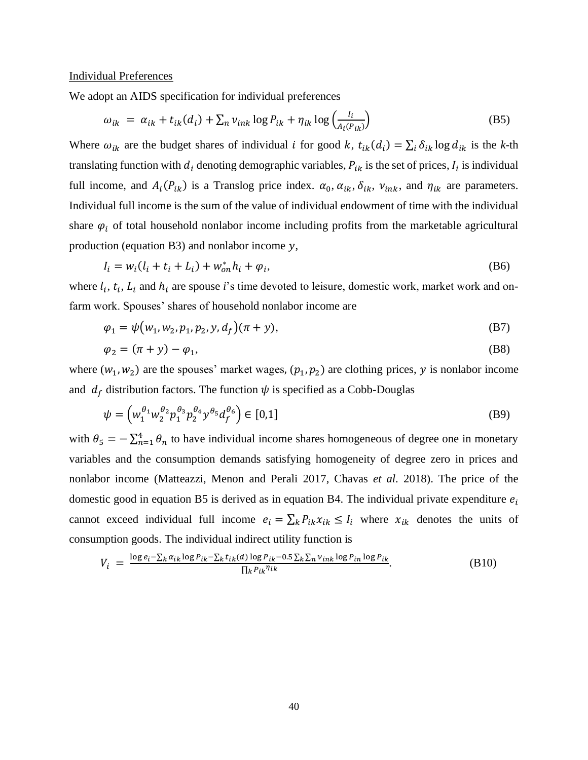#### Individual Preferences

We adopt an AIDS specification for individual preferences

$$
\omega_{ik} = \alpha_{ik} + t_{ik}(d_i) + \sum_n v_{ink} \log P_{ik} + \eta_{ik} \log \left( \frac{I_i}{A_i(P_{ik})} \right)
$$
(B5)

Where  $\omega_{ik}$  are the budget shares of individual *i* for good *k*,  $t_{ik}(d_i) = \sum_i \delta_{ik} \log d_{ik}$  is the *k*-th translating function with  $d_i$  denoting demographic variables,  $P_{ik}$  is the set of prices,  $I_i$  is individual full income, and  $A_i(P_{ik})$  is a Translog price index.  $\alpha_0, \alpha_{ik}, \delta_{ik}, v_{ink}$ , and  $\eta_{ik}$  are parameters. Individual full income is the sum of the value of individual endowment of time with the individual share  $\varphi_i$  of total household nonlabor income including profits from the marketable agricultural production (equation B3) and nonlabor income  $y$ ,

$$
I_i = w_i (l_i + t_i + L_i) + w_{on}^* h_i + \varphi_i,
$$
 (B6)

where  $l_i$ ,  $t_i$ ,  $L_i$  and  $h_i$  are spouse *i*'s time devoted to leisure, domestic work, market work and onfarm work. Spouses' shares of household nonlabor income are

$$
\varphi_1 = \psi(w_1, w_2, p_1, p_2, y, d_f)(\pi + y), \tag{B7}
$$

$$
\varphi_2 = (\pi + y) - \varphi_1,\tag{B8}
$$

where  $(w_1, w_2)$  are the spouses' market wages,  $(p_1, p_2)$  are clothing prices, y is nonlabor income and  $d_f$  distribution factors. The function  $\psi$  is specified as a Cobb-Douglas

$$
\psi = \left( w_1^{\theta_1} w_2^{\theta_2} p_1^{\theta_3} p_2^{\theta_4} y^{\theta_5} d_f^{\theta_6} \right) \in [0,1]
$$
\n(B9)

with  $\theta_5 = -\sum_{n=1}^4 \theta_n$  to have individual income shares homogeneous of degree one in monetary variables and the consumption demands satisfying homogeneity of degree zero in prices and nonlabor income (Matteazzi, Menon and Perali 2017, Chavas *et al*. 2018). The price of the domestic good in equation B5 is derived as in equation B4. The individual private expenditure  $e_i$ cannot exceed individual full income  $e_i = \sum_k P_{ik} x_{ik} \leq I_i$  where  $x_{ik}$  denotes the units of consumption goods. The individual indirect utility function is

$$
V_i = \frac{\log e_i - \sum_k \alpha_{ik} \log P_{ik} - \sum_k t_{ik}(d) \log P_{ik} - 0.5 \sum_k \sum_n v_{ink} \log P_{in} \log P_{ik}}{\prod_k P_{ik}^{\eta_{ik}}}.
$$
(B10)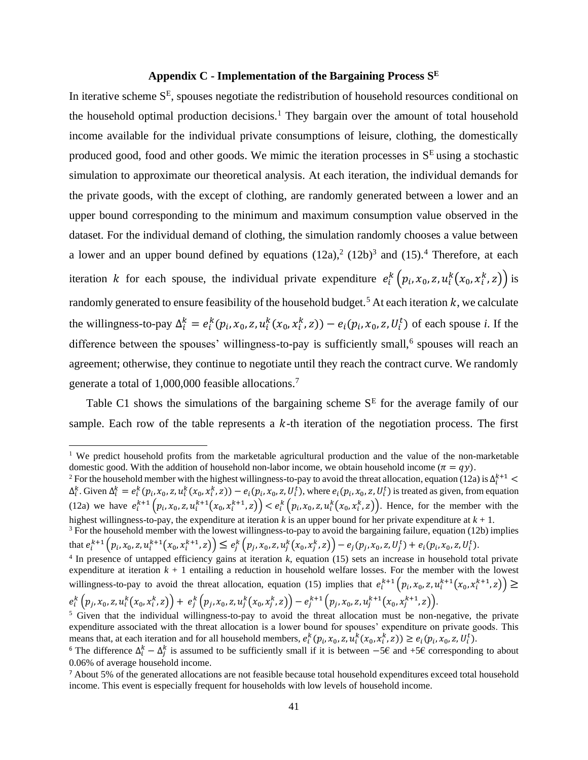### **Appendix C - Implementation of the Bargaining Process S E**

In iterative scheme  $S<sup>E</sup>$ , spouses negotiate the redistribution of household resources conditional on the household optimal production decisions.<sup>1</sup> They bargain over the amount of total household income available for the individual private consumptions of leisure, clothing, the domestically produced good, food and other goods. We mimic the iteration processes in  $S<sup>E</sup>$  using a stochastic simulation to approximate our theoretical analysis. At each iteration, the individual demands for the private goods, with the except of clothing, are randomly generated between a lower and an upper bound corresponding to the minimum and maximum consumption value observed in the dataset. For the individual demand of clothing, the simulation randomly chooses a value between a lower and an upper bound defined by equations  $(12a)$ ,  $(12b)$ <sup>3</sup> and  $(15)$ . Therefore, at each iteration k for each spouse, the individual private expenditure  $e_i^k(p_i, x_0, z, u_i^k(x_0, x_i^k, z))$  is randomly generated to ensure feasibility of the household budget.<sup>5</sup> At each iteration  $k$ , we calculate the willingness-to-pay  $\Delta_i^k = e_i^k(p_i, x_0, z, u_i^k(x_0, x_i^k, z)) - e_i(p_i, x_0, z, U_i^t)$  of each spouse *i*. If the difference between the spouses' willingness-to-pay is sufficiently small,<sup>6</sup> spouses will reach an agreement; otherwise, they continue to negotiate until they reach the contract curve. We randomly generate a total of 1,000,000 feasible allocations.<sup>7</sup>

Table C1 shows the simulations of the bargaining scheme  $S<sup>E</sup>$  for the average family of our sample. Each row of the table represents a  $k$ -th iteration of the negotiation process. The first

<sup>&</sup>lt;sup>1</sup> We predict household profits from the marketable agricultural production and the value of the non-marketable domestic good. With the addition of household non-labor income, we obtain household income  $(\pi = qy)$ .

<sup>&</sup>lt;sup>2</sup> For the household member with the highest willingness-to-pay to avoid the threat allocation, equation (12a) is  $\Delta_i^{k+1}$  <  $\Delta_i^k$ . Given  $\Delta_i^k = e_i^k(p_i, x_0, z, u_i^k(x_0, x_i^k, z)) - e_i(p_i, x_0, z, U_i^t)$ , where  $e_i(p_i, x_0, z, U_i^t)$  is treated as given, from equation (12a) we have  $e_i^{k+1}(p_i, x_0, z, u_i^{k+1}(x_0, x_i^{k+1}, z)) < e_i^k(p_i, x_0, z, u_i^k(x_0, x_i^k, z))$ . Hence, for the member with the highest willingness-to-pay, the expenditure at iteration *k* is an upper bound for her private expenditure at *k* + 1.

<sup>&</sup>lt;sup>3</sup> For the household member with the lowest willingness-to-pay to avoid the bargaining failure, equation (12b) implies that  $e_i^{k+1} (p_i, x_0, z, u_i^{k+1}(x_0, x_i^{k+1}, z)) \le e_j^k (p_j, x_0, z, u_j^k(x_0, x_j^k, z)) - e_j(p_j, x_0, z, U_j^t) + e_i(p_i, x_0, z, U_i^t)$ .

<sup>4</sup> In presence of untapped efficiency gains at iteration *k*, equation (15) sets an increase in household total private expenditure at iteration *k* + 1 entailing a reduction in household welfare losses. For the member with the lowest willingness-to-pay to avoid the threat allocation, equation (15) implies that  $e_i^{k+1}(p_i,x_0,z,u_i^{k+1}(x_0,x_i^{k+1},z)) \geq$  $e_i^k\left( p_j,x_0,z,u_i^k(x_0,x_i^k,z) \right) + \, e_j^k\left( p_j,x_0,z,u_j^k(x_0,x_j^k,z) \right) - e_j^{k+1}\left( p_j,x_0,z,u_j^{k+1}(x_0,x_j^{k+1},z) \right) .$ 

<sup>&</sup>lt;sup>5</sup> Given that the individual willingness-to-pay to avoid the threat allocation must be non-negative, the private expenditure associated with the threat allocation is a lower bound for spouses' expenditure on private goods. This means that, at each iteration and for all household members,  $e_i^k(p_i, x_0, z, u_i^k(x_0, x_i^k, z)) \ge e_i(p_i, x_0, z, U_i^t)$ .

<sup>&</sup>lt;sup>6</sup> The difference  $\Delta_i^k - \Delta_j^k$  is assumed to be sufficiently small if it is between  $-5\epsilon$  and +5 $\epsilon$  corresponding to about 0.06% of average household income.

<sup>7</sup> About 5% of the generated allocations are not feasible because total household expenditures exceed total household income. This event is especially frequent for households with low levels of household income.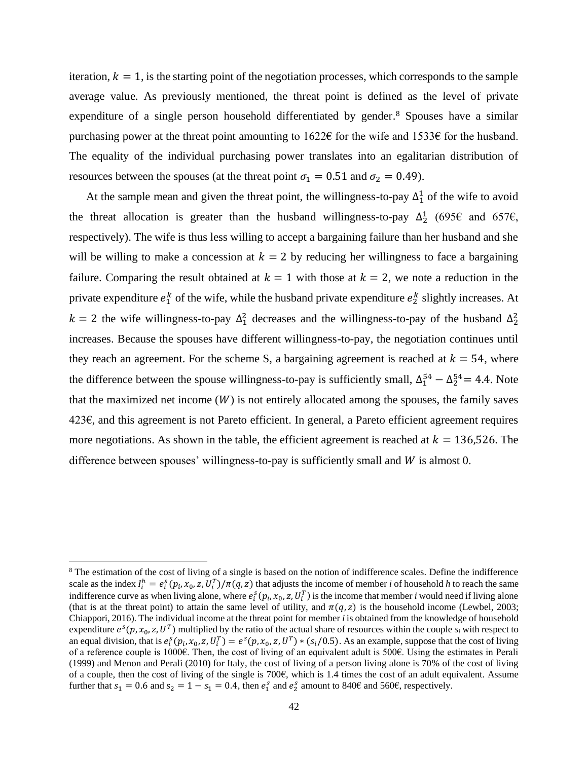iteration,  $k = 1$ , is the starting point of the negotiation processes, which corresponds to the sample average value. As previously mentioned, the threat point is defined as the level of private expenditure of a single person household differentiated by gender. <sup>8</sup> Spouses have a similar purchasing power at the threat point amounting to 1622€ for the wife and 1533€ for the husband. The equality of the individual purchasing power translates into an egalitarian distribution of resources between the spouses (at the threat point  $\sigma_1 = 0.51$  and  $\sigma_2 = 0.49$ ).

At the sample mean and given the threat point, the willingness-to-pay  $\Delta_1^1$  of the wife to avoid the threat allocation is greater than the husband willingness-to-pay  $\Delta_2^1$  (695€ and 657€, respectively). The wife is thus less willing to accept a bargaining failure than her husband and she will be willing to make a concession at  $k = 2$  by reducing her willingness to face a bargaining failure. Comparing the result obtained at  $k = 1$  with those at  $k = 2$ , we note a reduction in the private expenditure  $e_1^k$  of the wife, while the husband private expenditure  $e_2^k$  slightly increases. At  $k = 2$  the wife willingness-to-pay  $\Delta_1^2$  decreases and the willingness-to-pay of the husband  $\Delta_2^2$ increases. Because the spouses have different willingness-to-pay, the negotiation continues until they reach an agreement. For the scheme S, a bargaining agreement is reached at  $k = 54$ , where the difference between the spouse willingness-to-pay is sufficiently small,  $\Delta_1^{54} - \Delta_2^{54} = 4.4$ . Note that the maximized net income  $(W)$  is not entirely allocated among the spouses, the family saves 423€, and this agreement is not Pareto efficient. In general, a Pareto efficient agreement requires more negotiations. As shown in the table, the efficient agreement is reached at  $k = 136,526$ . The difference between spouses' willingness-to-pay is sufficiently small and  $W$  is almost 0.

<sup>&</sup>lt;sup>8</sup> The estimation of the cost of living of a single is based on the notion of indifference scales. Define the indifference scale as the index  $I_i^h = e_i^s(p_i, x_0, z, U_i^T)/\pi(q, z)$  that adjusts the income of member *i* of household *h* to reach the same indifference curve as when living alone, where  $e_i^s(p_i,x_0,z,U_i^T)$  is the income that member *i* would need if living alone (that is at the threat point) to attain the same level of utility, and  $\pi(q, z)$  is the household income (Lewbel, 2003; Chiappori, 2016). The individual income at the threat point for member *i*is obtained from the knowledge of household expenditure  $e^s(p, x_0, z, U^T)$  multiplied by the ratio of the actual share of resources within the couple  $s_i$  with respect to an equal division, that is  $e_i^s(p_i, x_0, z, U_i^T) = e^s(p, x_0, z, U^T) * (s_i/0.5)$ . As an example, suppose that the cost of living of a reference couple is 1000€. Then, the cost of living of an equivalent adult is 500€. Using the estimates in Perali (1999) and Menon and Perali (2010) for Italy, the cost of living of a person living alone is 70% of the cost of living of a couple, then the cost of living of the single is  $700 $\epsilon$ , which is 1.4 times the cost of an adult equivalent. Assume$ further that  $s_1 = 0.6$  and  $s_2 = 1 - s_1 = 0.4$ , then  $e_1^s$  and  $e_2^s$  amount to 840€ and 560€, respectively.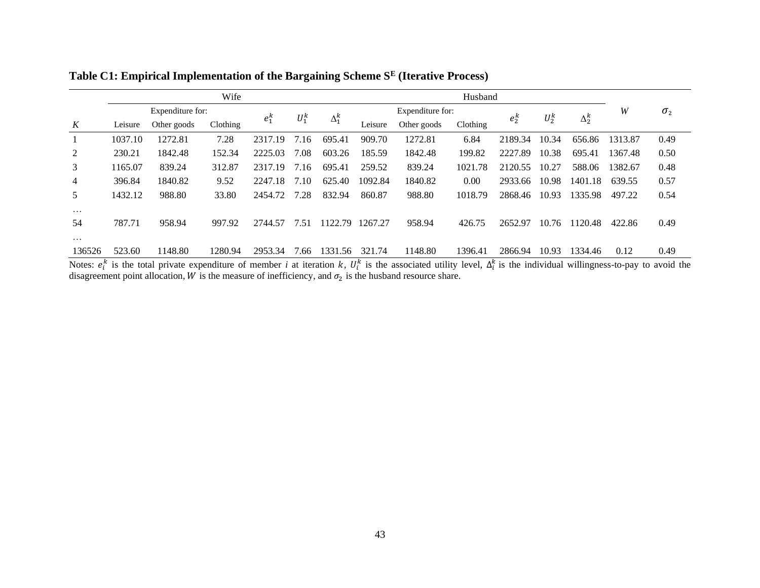|                |         |                  | Wife     |         |         |              |         |                  | Husband  |         |         |              |         |              |
|----------------|---------|------------------|----------|---------|---------|--------------|---------|------------------|----------|---------|---------|--------------|---------|--------------|
|                |         | Expenditure for: |          |         |         |              |         | Expenditure for: |          |         |         |              | W       | $\sigma_{2}$ |
| K              | Leisure | Other goods      | Clothing | $e_1^k$ | $U_1^k$ | $\Delta_1^k$ | Leisure | Other goods      | Clothing | $e_2^k$ | $U_2^k$ | $\Delta_2^k$ |         |              |
|                | 1037.10 | 1272.81          | 7.28     | 2317.19 | 7.16    | 695.41       | 909.70  | 1272.81          | 6.84     | 2189.34 | 10.34   | 656.86       | 1313.87 | 0.49         |
| 2              | 230.21  | 1842.48          | 152.34   | 2225.03 | 7.08    | 603.26       | 185.59  | 1842.48          | 199.82   | 2227.89 | 10.38   | 695.41       | 1367.48 | 0.50         |
| 3              | 1165.07 | 839.24           | 312.87   | 2317.19 | 7.16    | 695.41       | 259.52  | 839.24           | 1021.78  | 2120.55 | 10.27   | 588.06       | 1382.67 | 0.48         |
| $\overline{4}$ | 396.84  | 1840.82          | 9.52     | 2247.18 | 7.10    | 625.40       | 1092.84 | 1840.82          | 0.00     | 2933.66 | 10.98   | 1401.18      | 639.55  | 0.57         |
| 5              | 1432.12 | 988.80           | 33.80    | 2454.72 | 7.28    | 832.94       | 860.87  | 988.80           | 1018.79  | 2868.46 | 10.93   | 1335.98      | 497.22  | 0.54         |
| $\cdots$       |         |                  |          |         |         |              |         |                  |          |         |         |              |         |              |
| 54             | 787.71  | 958.94           | 997.92   | 2744.57 | 7.51    | 1122.79      | 1267.27 | 958.94           | 426.75   | 2652.97 | 10.76   | 120.48       | 422.86  | 0.49         |
| $\cdots$       |         |                  |          |         |         |              |         |                  |          |         |         |              |         |              |
| 136526         | 523.60  | 1148.80          | 1280.94  | 2953.34 | 7.66    | 1331.56      | 321.74  | 1148.80          | 1396.41  | 2866.94 | 10.93   | 1334.46      | 0.12    | 0.49         |

**Table C1: Empirical Implementation of the Bargaining Scheme S<sup>E</sup> (Iterative Process)**

Notes:  $e_i^k$  is the total private expenditure of member *i* at iteration k,  $U_i^k$  is the associated utility level,  $\Delta_i^k$  is the individual willingness-to-pay to avoid the disagreement point allocation, W is the measure of inefficiency, and  $\sigma_2$  is the husband resource share.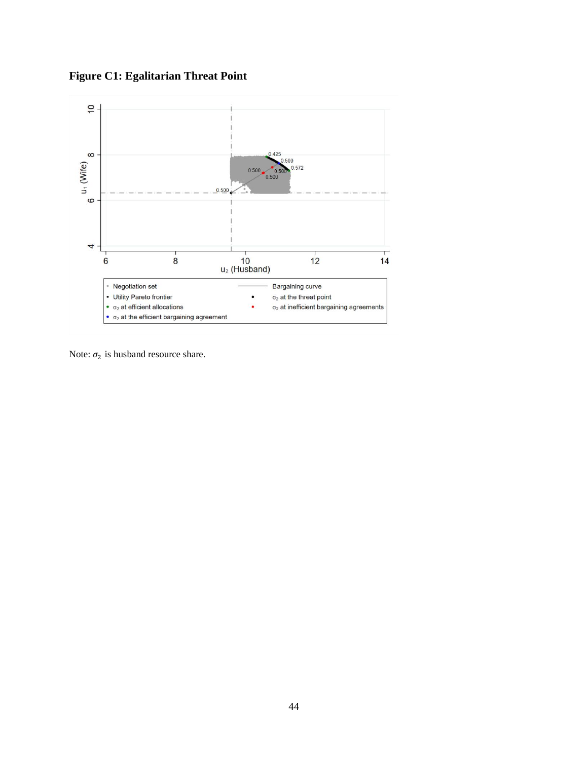**Figure C1: Egalitarian Threat Point**



Note:  $\sigma_2$  is husband resource share.